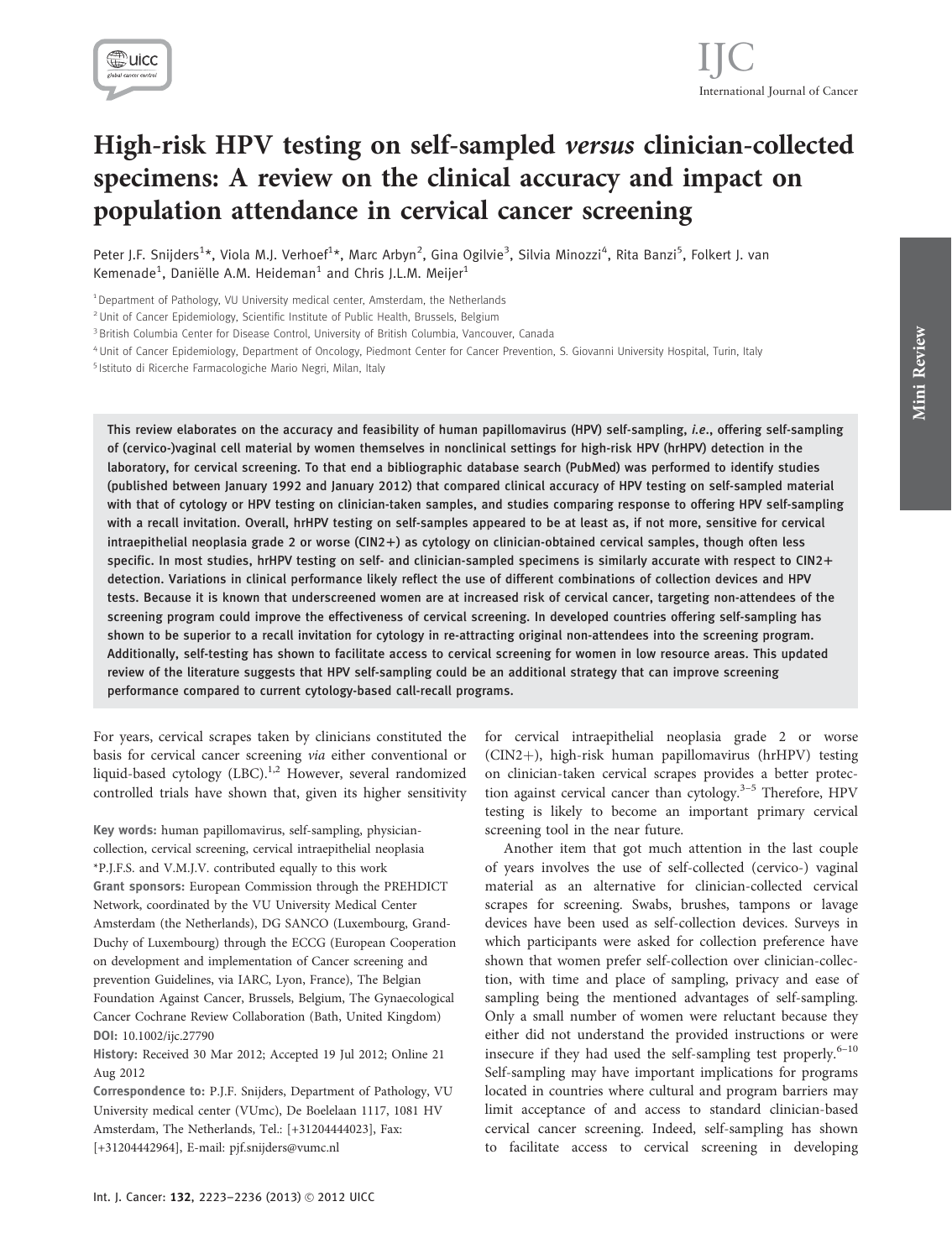

# High-risk HPV testing on self-sampled versus clinician-collected specimens: A review on the clinical accuracy and impact on population attendance in cervical cancer screening

Peter J.F. Snijders<sup>1\*</sup>, Viola M.J. Verhoef<sup>1\*</sup>, Marc Arbyn<sup>2</sup>, Gina Ogilvie<sup>3</sup>, Silvia Minozzi<sup>4</sup>, Rita Banzi<sup>5</sup>, Folkert J. van Kemenade<sup>1</sup>, Daniëlle A.M. Heideman<sup>1</sup> and Chris J.L.M. Meijer<sup>1</sup>

<sup>1</sup> Department of Pathology, VU University medical center, Amsterdam, the Netherlands

<sup>2</sup> Unit of Cancer Epidemiology, Scientific Institute of Public Health, Brussels, Belgium

<sup>3</sup> British Columbia Center for Disease Control, University of British Columbia, Vancouver, Canada

<sup>4</sup> Unit of Cancer Epidemiology, Department of Oncology, Piedmont Center for Cancer Prevention, S. Giovanni University Hospital, Turin, Italy

<sup>5</sup> Istituto di Ricerche Farmacologiche Mario Negri, Milan, Italy

This review elaborates on the accuracy and feasibility of human papillomavirus (HPV) self-sampling, i.e., offering self-sampling of (cervico-)vaginal cell material by women themselves in nonclinical settings for high-risk HPV (hrHPV) detection in the laboratory, for cervical screening. To that end a bibliographic database search (PubMed) was performed to identify studies (published between January 1992 and January 2012) that compared clinical accuracy of HPV testing on self-sampled material with that of cytology or HPV testing on clinician-taken samples, and studies comparing response to offering HPV self-sampling with a recall invitation. Overall, hrHPV testing on self-samples appeared to be at least as, if not more, sensitive for cervical intraepithelial neoplasia grade 2 or worse (CIN2+) as cytology on clinician-obtained cervical samples, though often less specific. In most studies, hrHPV testing on self- and clinician-sampled specimens is similarly accurate with respect to CIN21 detection. Variations in clinical performance likely reflect the use of different combinations of collection devices and HPV tests. Because it is known that underscreened women are at increased risk of cervical cancer, targeting non-attendees of the screening program could improve the effectiveness of cervical screening. In developed countries offering self-sampling has shown to be superior to a recall invitation for cytology in re-attracting original non-attendees into the screening program. Additionally, self-testing has shown to facilitate access to cervical screening for women in low resource areas. This updated review of the literature suggests that HPV self-sampling could be an additional strategy that can improve screening performance compared to current cytology-based call-recall programs.

For years, cervical scrapes taken by clinicians constituted the basis for cervical cancer screening via either conventional or liquid-based cytology (LBC).<sup>1,2</sup> However, several randomized controlled trials have shown that, given its higher sensitivity

Key words: human papillomavirus, self-sampling, physiciancollection, cervical screening, cervical intraepithelial neoplasia \*P.J.F.S. and V.M.J.V. contributed equally to this work Grant sponsors: European Commission through the PREHDICT Network, coordinated by the VU University Medical Center Amsterdam (the Netherlands), DG SANCO (Luxembourg, Grand-Duchy of Luxembourg) through the ECCG (European Cooperation on development and implementation of Cancer screening and prevention Guidelines, via IARC, Lyon, France), The Belgian Foundation Against Cancer, Brussels, Belgium, The Gynaecological Cancer Cochrane Review Collaboration (Bath, United Kingdom) DOI: 10.1002/ijc.27790

History: Received 30 Mar 2012; Accepted 19 Jul 2012; Online 21 Aug 2012

Correspondence to: P.J.F. Snijders, Department of Pathology, VU University medical center (VUmc), De Boelelaan 1117, 1081 HV Amsterdam, The Netherlands, Tel.: [+31204444023], Fax: [+31204442964], E-mail: pjf.snijders@vumc.nl

for cervical intraepithelial neoplasia grade 2 or worse (CIN2+), high-risk human papillomavirus (hrHPV) testing on clinician-taken cervical scrapes provides a better protection against cervical cancer than cytology. $3-5$  Therefore, HPV testing is likely to become an important primary cervical screening tool in the near future.

Another item that got much attention in the last couple of years involves the use of self-collected (cervico-) vaginal material as an alternative for clinician-collected cervical scrapes for screening. Swabs, brushes, tampons or lavage devices have been used as self-collection devices. Surveys in which participants were asked for collection preference have shown that women prefer self-collection over clinician-collection, with time and place of sampling, privacy and ease of sampling being the mentioned advantages of self-sampling. Only a small number of women were reluctant because they either did not understand the provided instructions or were insecure if they had used the self-sampling test properly.<sup>6-10</sup> Self-sampling may have important implications for programs located in countries where cultural and program barriers may limit acceptance of and access to standard clinician-based cervical cancer screening. Indeed, self-sampling has shown to facilitate access to cervical screening in developing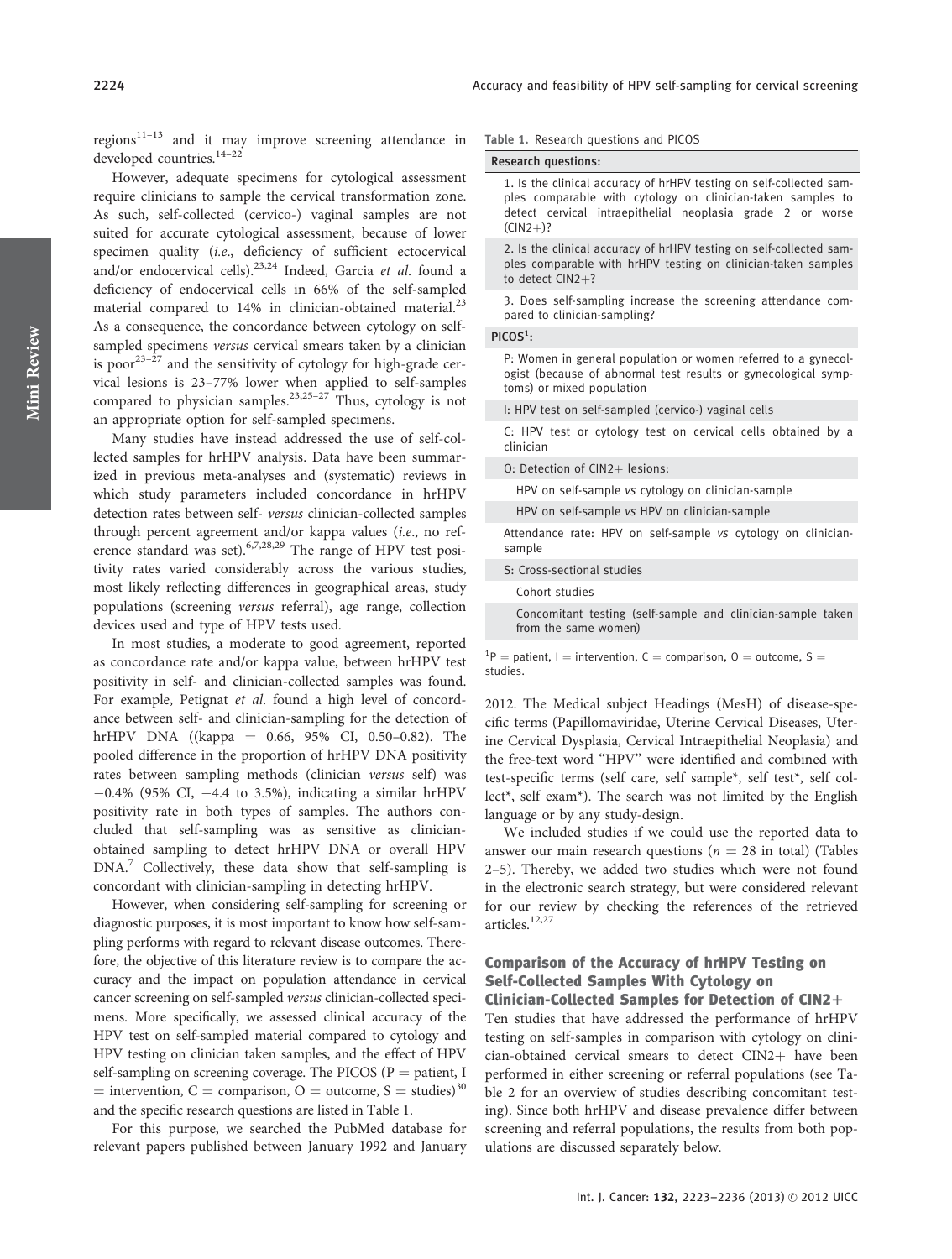regions $11-13$  and it may improve screening attendance in developed countries.<sup>14-22</sup>

However, adequate specimens for cytological assessment require clinicians to sample the cervical transformation zone. As such, self-collected (cervico-) vaginal samples are not suited for accurate cytological assessment, because of lower specimen quality (i.e., deficiency of sufficient ectocervical and/or endocervical cells).<sup>23,24</sup> Indeed, Garcia et al. found a deficiency of endocervical cells in 66% of the self-sampled material compared to 14% in clinician-obtained material.<sup>23</sup> As a consequence, the concordance between cytology on selfsampled specimens versus cervical smears taken by a clinician is poo $r^{23-27}$  and the sensitivity of cytology for high-grade cervical lesions is 23–77% lower when applied to self-samples compared to physician samples.<sup>23,25-27</sup> Thus, cytology is not an appropriate option for self-sampled specimens.

Many studies have instead addressed the use of self-collected samples for hrHPV analysis. Data have been summarized in previous meta-analyses and (systematic) reviews in which study parameters included concordance in hrHPV detection rates between self- versus clinician-collected samples through percent agreement and/or kappa values (i.e., no reference standard was set).<sup>6,7,28,29</sup> The range of HPV test positivity rates varied considerably across the various studies, most likely reflecting differences in geographical areas, study populations (screening versus referral), age range, collection devices used and type of HPV tests used.

In most studies, a moderate to good agreement, reported as concordance rate and/or kappa value, between hrHPV test positivity in self- and clinician-collected samples was found. For example, Petignat et al. found a high level of concordance between self- and clinician-sampling for the detection of hrHPV DNA ((kappa =  $0.66$ , 95% CI, 0.50-0.82). The pooled difference in the proportion of hrHPV DNA positivity rates between sampling methods (clinician versus self) was  $-0.4\%$  (95% CI,  $-4.4$  to 3.5%), indicating a similar hrHPV positivity rate in both types of samples. The authors concluded that self-sampling was as sensitive as clinicianobtained sampling to detect hrHPV DNA or overall HPV DNA.<sup>7</sup> Collectively, these data show that self-sampling is concordant with clinician-sampling in detecting hrHPV.

However, when considering self-sampling for screening or diagnostic purposes, it is most important to know how self-sampling performs with regard to relevant disease outcomes. Therefore, the objective of this literature review is to compare the accuracy and the impact on population attendance in cervical cancer screening on self-sampled versus clinician-collected specimens. More specifically, we assessed clinical accuracy of the HPV test on self-sampled material compared to cytology and HPV testing on clinician taken samples, and the effect of HPV self-sampling on screening coverage. The PICOS ( $P =$  patient, I  $\mu$  intervention, C = comparison, O = outcome, S = studies)<sup>30</sup> and the specific research questions are listed in Table 1.

For this purpose, we searched the PubMed database for relevant papers published between January 1992 and January Table 1. Research questions and PICOS

|  | Research questions: |  |
|--|---------------------|--|
|--|---------------------|--|

1. Is the clinical accuracy of hrHPV testing on self-collected samples comparable with cytology on clinician-taken samples to detect cervical intraepithelial neoplasia grade 2 or worse  $(CIN2+)$ ?

2. Is the clinical accuracy of hrHPV testing on self-collected samples comparable with hrHPV testing on clinician-taken samples to detect  $CIN2+?$ 

3. Does self-sampling increase the screening attendance compared to clinician-sampling?

#### $PICOS<sup>1</sup>$ :

P: Women in general population or women referred to a gynecologist (because of abnormal test results or gynecological symptoms) or mixed population

I: HPV test on self-sampled (cervico-) vaginal cells

C: HPV test or cytology test on cervical cells obtained by a clinician

O: Detection of CIN2+ lesions:

HPV on self-sample vs cytology on clinician-sample

HPV on self-sample vs HPV on clinician-sample

Attendance rate: HPV on self-sample vs cytology on cliniciansample

S: Cross-sectional studies

Cohort studies

Concomitant testing (self-sample and clinician-sample taken from the same women)

<sup>1</sup>P = patient, I = intervention, C = comparison, O = outcome, S = studies.

2012. The Medical subject Headings (MesH) of disease-specific terms (Papillomaviridae, Uterine Cervical Diseases, Uterine Cervical Dysplasia, Cervical Intraepithelial Neoplasia) and the free-text word ''HPV'' were identified and combined with test-specific terms (self care, self sample\*, self test\*, self collect\*, self exam\*). The search was not limited by the English language or by any study-design.

We included studies if we could use the reported data to answer our main research questions ( $n = 28$  in total) (Tables 2–5). Thereby, we added two studies which were not found in the electronic search strategy, but were considered relevant for our review by checking the references of the retrieved articles.12,27

## Comparison of the Accuracy of hrHPV Testing on Self-Collected Samples With Cytology on

## Clinician-Collected Samples for Detection of  $CIN2+$

Ten studies that have addressed the performance of hrHPV testing on self-samples in comparison with cytology on clini $cian-obtained$  cervical smears to detect  $CIN2+$  have been performed in either screening or referral populations (see Table 2 for an overview of studies describing concomitant testing). Since both hrHPV and disease prevalence differ between screening and referral populations, the results from both populations are discussed separately below.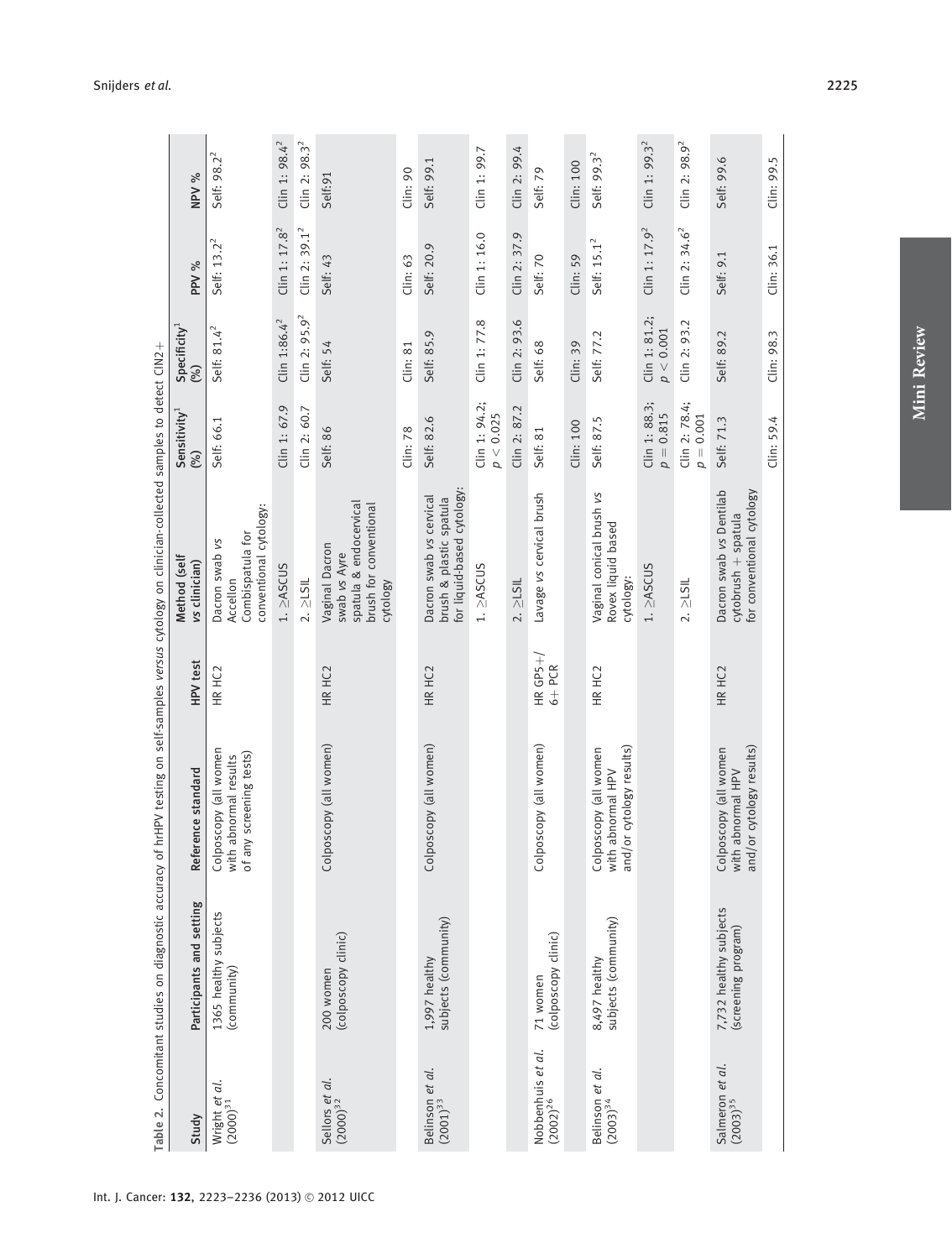| Table 2.                                         |                                               | Concomitant studies on diagnostic accuracy of hrHPV testing on self-samples versus cytology on clinician-collected samples to detect CIN2+ |                      |                                                                                                |                              |                                 |                           |                         |
|--------------------------------------------------|-----------------------------------------------|--------------------------------------------------------------------------------------------------------------------------------------------|----------------------|------------------------------------------------------------------------------------------------|------------------------------|---------------------------------|---------------------------|-------------------------|
| Study                                            | Participants and setting                      | ce standard<br>Referen                                                                                                                     | HPV test             | Method (self<br>vs clinician)                                                                  | $S$ ensitivity $^{1}$<br>(%) | $\mathsf{Specificity}^1$<br>(%) | PPV %                     | NPV %                   |
| Wright <i>et al.</i><br>$(2000)^{31}$            | 1365 healthy subjects<br>(community)          | Colposcopy (all women<br>of any screening tests)<br>with abnormal results                                                                  | HR <sub>HC2</sub>    | conventional cytology:<br>Combispatula for<br>Dacron swab vs<br>Accellon                       | Self: 66.1                   | Self: 81.4 <sup>2</sup>         | Self: 13.2 <sup>2</sup>   | Self: 98.2 <sup>2</sup> |
|                                                  |                                               |                                                                                                                                            |                      | $1. \geq ASCUS$                                                                                | Clin 1: 67.9                 | Clin $1:86.4^2$                 | Clin 1: 17.8 <sup>2</sup> | Clin 1: $98.4^2$        |
|                                                  |                                               |                                                                                                                                            |                      | $2. \geq$ LSIL                                                                                 | Clin 2: 60.7                 | Clin 2: $95.92$                 | Clin 2: $39.1^2$          | Clin 2: $98.3^2$        |
| Sellors et al.<br>$(2000)^{32}$                  | (colposcopy clinic)<br>200 women              | Colposcopy (all women)                                                                                                                     | HR HC <sub>2</sub>   | spatula & endocervical<br>brush for conventional<br>Vaginal Dacron<br>swab vs Ayre<br>cytology | Self: 86                     | Self: 54                        | Self: 43                  | Self:91                 |
|                                                  |                                               |                                                                                                                                            |                      |                                                                                                | Clin: 78                     | Clin: 81                        | Clin: 63                  | Clin: 90                |
| Belinson et al.<br>(2001) <sup>33</sup>          | subjects (community)<br>1,997 healthy         | Colposcopy (all women)                                                                                                                     | HR HC <sub>2</sub>   | for liquid-based cytology:<br>Dacron swab vs cervical<br>brush & plastic spatula               | Self: 82.6                   | Self: 85.9                      | Self: 20.9                | Self: 99.1              |
|                                                  |                                               |                                                                                                                                            |                      | $1. \geq$ ASCUS                                                                                | Clin 1: 94.2;<br>p < 0.025   | Clin 1: 77.8                    | Clin 1: 16.0              | Clin 1: 99.7            |
|                                                  |                                               |                                                                                                                                            |                      | $2. \geq$ LSIL                                                                                 | Clin 2: 87.2                 | Clin 2: 93.6                    | Clin 2: 37.9              | Clin 2: 99.4            |
| Nobbenhuis <i>et al.</i><br>(2002) <sup>26</sup> | (colposcopy clinic)<br>71 women               | Colposcopy (all women)                                                                                                                     | $HR GPS+$<br>$6+PCR$ | Lavage vs cervical brush                                                                       | Self: 81                     | Self: 68                        | Self: 70                  | Self: 79                |
|                                                  |                                               |                                                                                                                                            |                      |                                                                                                | <b>Clin: 100</b>             | Clin: 39                        | Clin: 59                  | <b>Clin: 100</b>        |
| Belinson et al.<br>(2003) <sup>34</sup>          | subjects (community)<br>8,497 healthy         | and/or cytology results)<br>Colposcopy (all women<br>with abnomal HPV                                                                      | HR <sub>HC2</sub>    | Vaginal conical brush vs<br>Rovex liquid based<br>cytology:                                    | Self: 87.5                   | Self: 77.2                      | Self: 15.1 <sup>2</sup>   | Self: 99.3 <sup>2</sup> |
|                                                  |                                               |                                                                                                                                            |                      | $1. \geq$ ASCUS                                                                                | Clin 1: 88.3;<br>$p = 0.815$ | Clin 1: 81.2;<br>p < 0.001      | Clin 1: $17.9^2$          | Clin $1: 99.3^2$        |
|                                                  |                                               |                                                                                                                                            |                      | $2. \geq$ LSIL                                                                                 | Clin 2: 78.4;<br>$p = 0.001$ | Clin 2: 93.2                    | Clin 2: $34.6^2$          | Clin 2: $98.9^2$        |
| Salmeron <i>et al.</i><br>(2003) <sup>35</sup>   | 7,732 healthy subjects<br>(screening program) | cytology results)<br>Colposcopy (all women<br>with abnomal HPV<br>and/or                                                                   | HR HC <sub>2</sub>   | Dacron swab vs Dentilab<br>for conventional cytology<br>cytobrush + spatula                    | Self: 71.3                   | Self: 89.2                      | Self: 9.1                 | Self: 99.6              |
|                                                  |                                               |                                                                                                                                            |                      |                                                                                                | Clin: 59.4                   | Clin: 98.3                      | Clin: 36.1                | Clin: 99.5              |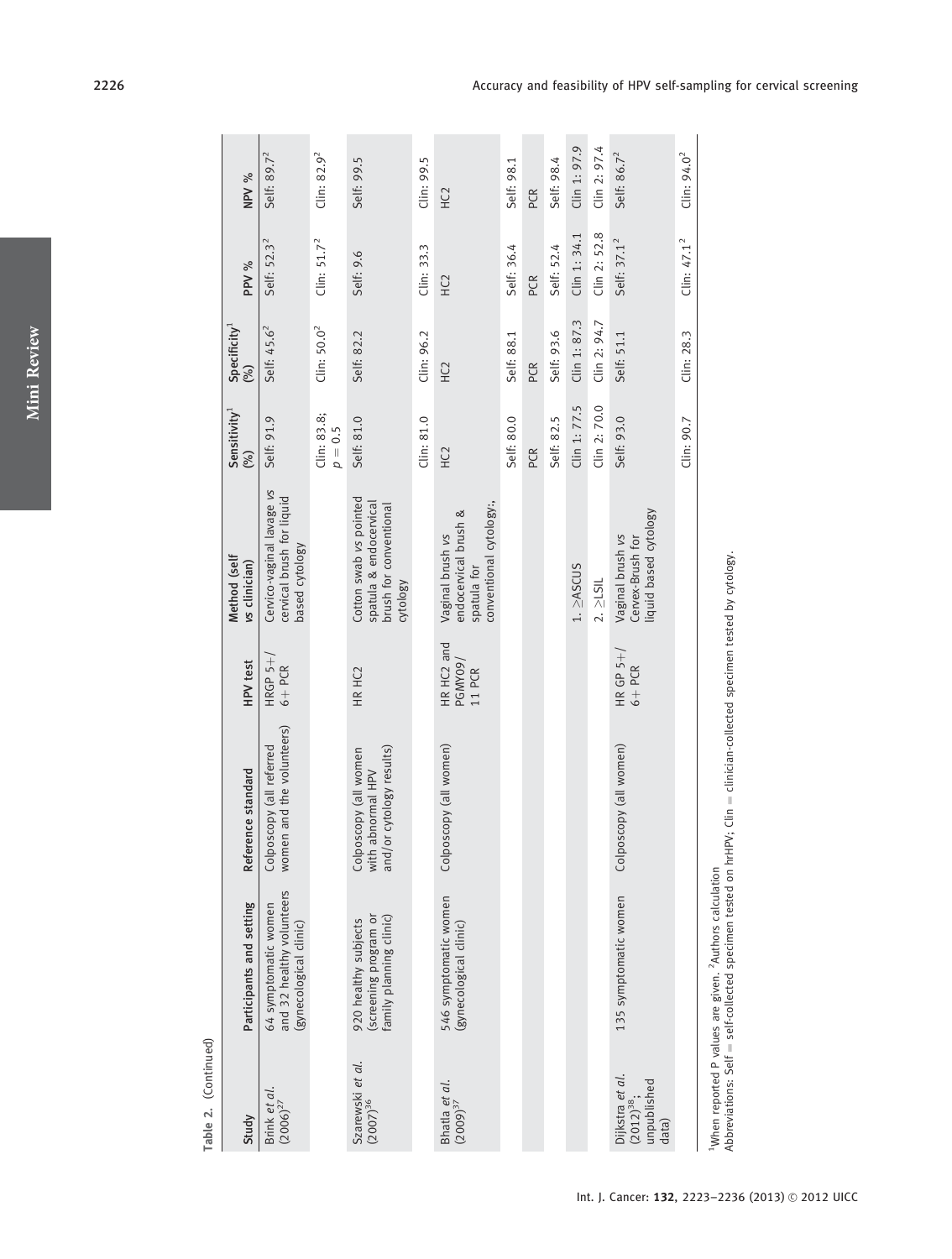| Study                                                      | Participants and setting                                                                                                                          | Reference standard                                                     | HPV test                       | Method (self<br>vs clinician)                                                          | $Sensitivity1$ (%)       | $S$ pecificity <sup>1</sup><br>(%) | PPV %                   | NPV %                   |
|------------------------------------------------------------|---------------------------------------------------------------------------------------------------------------------------------------------------|------------------------------------------------------------------------|--------------------------------|----------------------------------------------------------------------------------------|--------------------------|------------------------------------|-------------------------|-------------------------|
| Brink et al.<br>$(2006)^{27}$                              | and 32 healthy volunteers<br>64 symptomatic women<br>(gynecological clinic)                                                                       | and the volunteers)<br>Colposcopy (all referred<br>women               | $HRGP$ 5+<br>$6+PCR$           | Cervico-vaginal lavage vs<br>cervical brush for liquid<br>based cytology               | Self: 91.9               | Self: 45.6 <sup>2</sup>            | Self: 52.3 <sup>2</sup> | Self: 89.7 <sup>2</sup> |
|                                                            |                                                                                                                                                   |                                                                        |                                |                                                                                        | Clin: 83.8;<br>$p = 0.5$ | Clin: $50.02$                      | Clin: $51.72$           | Clin: $82.9^2$          |
| Szarewski et al.<br>$(2007)^{36}$                          | family planning clinic)<br>(screening program or<br>920 healthy subjects                                                                          | and/or cytology results)<br>Colposcopy (all women<br>with abnormal HPV | HR <sub>HC2</sub>              | Cotton swab vs pointed<br>spatula & endocervical<br>brush for conventional<br>cytology | Self: 81.0               | Self: 82.2                         | Self: 9.6               | Self: 99.5              |
|                                                            |                                                                                                                                                   |                                                                        |                                |                                                                                        | Clin: 81.0               | Clin: 96.2                         | Clin: 33.3              | Clin: 99.5              |
| Bhatla et al.<br>$(2009)^{37}$                             | 546 symptomatic women<br>(gynecological clinic)                                                                                                   | Colposcopy (all women)                                                 | HR HC2 and<br>PGMY09<br>11 PCR | conventional cytology:,<br>endocervical brush &<br>Vaginal brush vs<br>spatula for     | HC <sub>2</sub>          | HC <sub>2</sub>                    | HC <sub>2</sub>         | HC <sub>2</sub>         |
|                                                            |                                                                                                                                                   |                                                                        |                                |                                                                                        | Self: 80.0               | Self: 88.1                         | Self: 36.4              | Self: 98.1              |
|                                                            |                                                                                                                                                   |                                                                        |                                |                                                                                        | PCR                      | PCR                                | PCR                     | PCR                     |
|                                                            |                                                                                                                                                   |                                                                        |                                |                                                                                        | Self: 82.5               | Self: 93.6                         | Self: 52.4              | Self: 98.4              |
|                                                            |                                                                                                                                                   |                                                                        |                                | $1. \geq ASCUS$                                                                        | Clin 1: 77.5             | Clin 1: 87.3                       | Clin 1: 34.1            | Clin 1: 97.9            |
|                                                            |                                                                                                                                                   |                                                                        |                                | $2. \geq$ LSIL                                                                         | Clin 2: 70.0             | Clin 2: 94.7                       | Clin 2: 52.8            | Clin 2: 97.4            |
| Dijkstra et al.<br>unpublished<br>$(2012)^{38}$ ;<br>data) | 135 symptomatic women                                                                                                                             | Colposcopy (all women)                                                 | $HR GP 5+$<br>$6+PCR$          | liquid based cytology<br>Vaginal brush vs<br>Cervex-Brush for                          | Self: 93.0               | Self: 51.1                         | Self: 37.1 <sup>2</sup> | Self: 86.7 <sup>2</sup> |
|                                                            |                                                                                                                                                   |                                                                        |                                |                                                                                        | Clin: 90.7               | Clin: 28.3                         | Clin: $47.12$           | Clin: $94.0^2$          |
|                                                            | Abbreviations: Self = self-collected specimen tested on hrHPV;<br><sup>1</sup> When reported P values are given. <sup>2</sup> Authors calculation | Clin = clinician-collected specimen tested by cytology.                |                                |                                                                                        |                          |                                    |                         |                         |

Table 2. (Continued) Table 2. (Continued)

Mini Review

Mini Review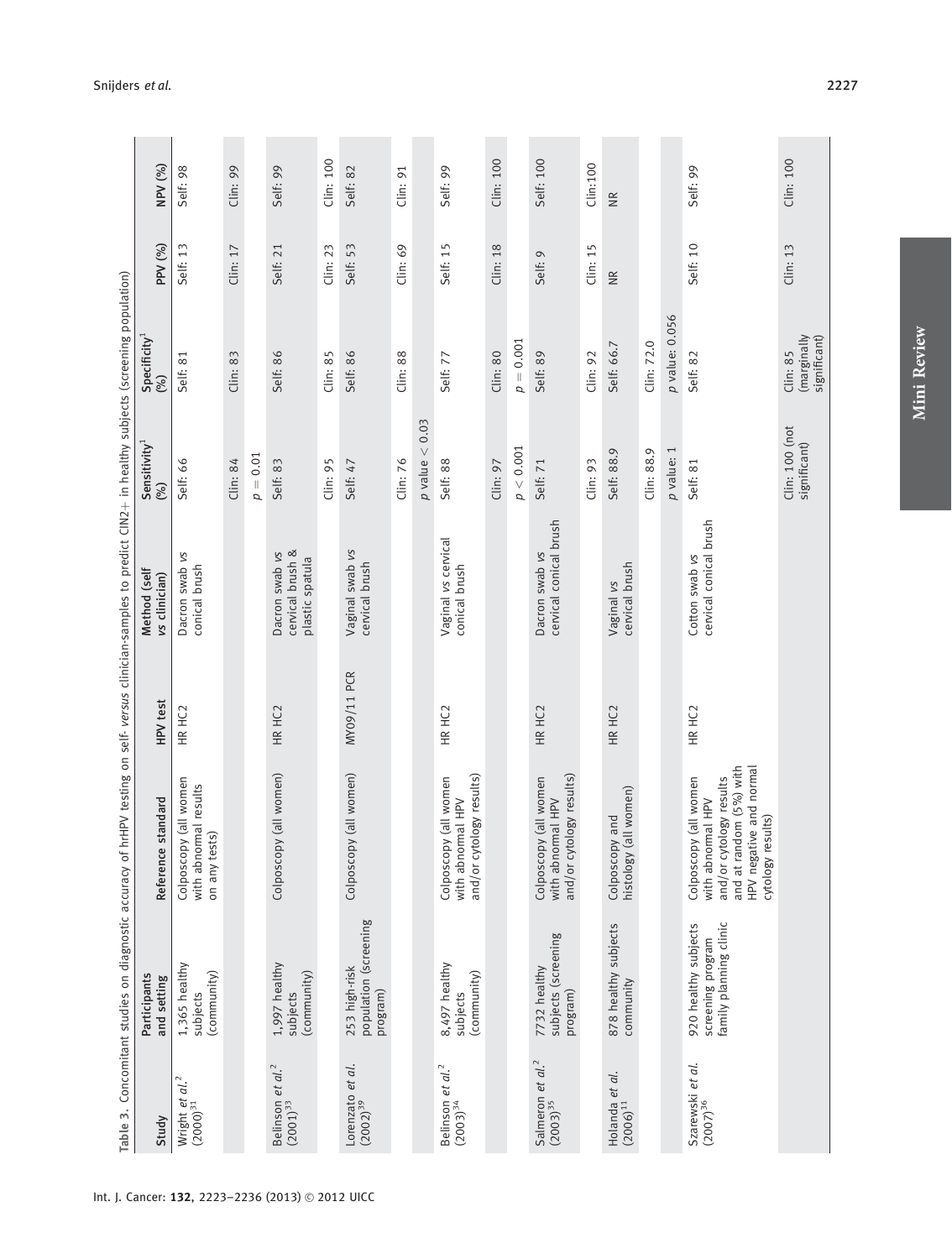| HR <sub>HC2</sub><br>HR <sub>HC2</sub> | (all women                             | with abnormal HPV<br>Colposcopy<br>Colposcopy                                                                                                                                                                                                                                                | subjects (screening<br>8,497 healthy<br>7732 healthy<br>(community)<br>subjects<br>program)              |
|----------------------------------------|----------------------------------------|----------------------------------------------------------------------------------------------------------------------------------------------------------------------------------------------------------------------------------------------------------------------------------------------|----------------------------------------------------------------------------------------------------------|
|                                        | HR <sub>HC2</sub><br>HR <sub>HC2</sub> | and at random (5%) with<br>HPV negative and normal<br>and/or cytology results)<br>and/or cytology results)<br>(all women<br>(all women<br>and/or cytology results<br>histology (all women)<br>with abnormal HPV<br>with abnormal HPV<br>cytology results)<br>and<br>Colposcopy<br>Colposcopy | family planning clinic<br>878 healthy subjects<br>920 healthy subjects<br>screening program<br>community |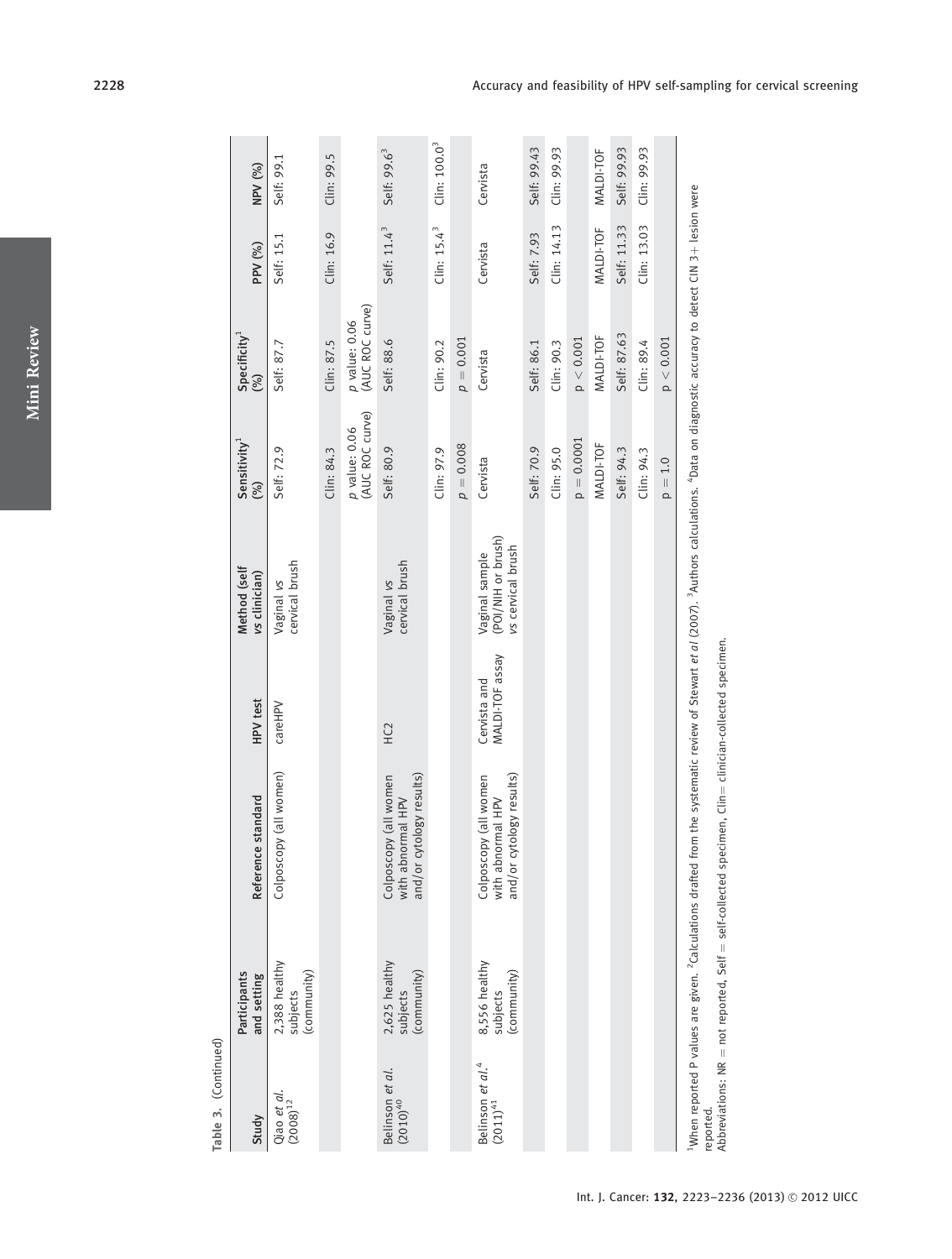| \p\ninin\}\\$\nan\}\\$\                              |                                          |                                                                                                                                                                                                                                                                                                                                                             |                                 |                                                           |                                  |                                  |                         |                          |
|------------------------------------------------------|------------------------------------------|-------------------------------------------------------------------------------------------------------------------------------------------------------------------------------------------------------------------------------------------------------------------------------------------------------------------------------------------------------------|---------------------------------|-----------------------------------------------------------|----------------------------------|----------------------------------|-------------------------|--------------------------|
| Study                                                | Participants<br>and setting              | Reference standard                                                                                                                                                                                                                                                                                                                                          | HPV test                        | Method (self<br>vs clinician)                             | Sensitivity <sup>1</sup><br>(%)  | Specificity <sup>1</sup><br>(%)  | PPV (%)                 | NPV (%)                  |
| Qiao et al.<br>$(2008)^{12}$                         | 2,388 healthy<br>(community)<br>subjects | (all women)<br>Colposcopy                                                                                                                                                                                                                                                                                                                                   | careHPV                         | cervical brush<br>Vaginal vs                              | Self: 72.9                       | Self: 87.7                       | Self: 15.1              | Self: 99.1               |
|                                                      |                                          |                                                                                                                                                                                                                                                                                                                                                             |                                 |                                                           | Clin: 84.3                       | Clin: 87.5                       | Clin: 16.9              | Clin: 99.5               |
|                                                      |                                          |                                                                                                                                                                                                                                                                                                                                                             |                                 |                                                           | (AUC ROC curve)<br>p value: 0.06 | p value: 0.06<br>(AUC ROC curve) |                         |                          |
| Belinson et al.<br>$(2010)^{40}$                     | 2,625 healthy<br>(community)<br>subjects | and/or cytology results)<br>(all women<br>with abnormal HPV<br>Colposcopy                                                                                                                                                                                                                                                                                   | HC <sub>2</sub>                 | cervical brush<br>Vaginal vs                              | Self: 80.9                       | Self: 88.6                       | Self: 11.4 <sup>3</sup> | Self: 99.6 <sup>3</sup>  |
|                                                      |                                          |                                                                                                                                                                                                                                                                                                                                                             |                                 |                                                           | Clin: 97.9                       | Clin: 90.2                       | Clin: $15.4^3$          | Clin: 100.0 <sup>3</sup> |
|                                                      |                                          |                                                                                                                                                                                                                                                                                                                                                             |                                 |                                                           | $p = 0.008$                      | $p = 0.001$                      |                         |                          |
| Belinson <i>et al.</i> <sup>4</sup><br>$(2011)^{41}$ | 8,556 healthy<br>(community)<br>subjects | and/or cytology results)<br>(all women<br>with abnormal HPV<br>Colposcopy                                                                                                                                                                                                                                                                                   | MALDI-TOF assay<br>Cervista and | (POI/NIH or brush)<br>/s cervical brush<br>Vaginal sample | Cervista                         | Cervista                         | Cervista                | Cervista                 |
|                                                      |                                          |                                                                                                                                                                                                                                                                                                                                                             |                                 |                                                           | Self: 70.9                       | Self: 86.1                       | Self: 7.93              | Self: 99.43              |
|                                                      |                                          |                                                                                                                                                                                                                                                                                                                                                             |                                 |                                                           | Clin: 95.0                       | Clin: 90.3                       | Clin: 14.13             | Clin: 99.93              |
|                                                      |                                          |                                                                                                                                                                                                                                                                                                                                                             |                                 |                                                           | $p = 0.0001$                     | p < 0.001                        |                         |                          |
|                                                      |                                          |                                                                                                                                                                                                                                                                                                                                                             |                                 |                                                           | MALDI-TOF                        | MALDI-TOF                        | MALDI-TOF               | MALDI-TOF                |
|                                                      |                                          |                                                                                                                                                                                                                                                                                                                                                             |                                 |                                                           | Self: 94.3                       | Self: 87.63                      | Self: 11.33             | Self: 99.93              |
|                                                      |                                          |                                                                                                                                                                                                                                                                                                                                                             |                                 |                                                           | Clin: 94.3                       | Clin: 89.4                       | Clin: 13.03             | Clin: 99.93              |
|                                                      |                                          |                                                                                                                                                                                                                                                                                                                                                             |                                 |                                                           | 1.0<br>$\frac{1}{\rho}$          | p < 0.001                        |                         |                          |
| reported.                                            |                                          | <sup>1</sup> When reported P values are given. <sup>2</sup> Calculations drafted from the systematic review of Stewart <i>et al (</i> 200 <i>7</i> ). <sup>3</sup> Authors calculations. "Data on diagnostic accuracy to detect CIN 3+ lesion were<br>Abbreviations: NR = not reported, Self = self-collected specimen, Clin= clinician-collected specimen. |                                 |                                                           |                                  |                                  |                         |                          |

Table 3. (Continued) Table 3. (Continued)

Mini Review

Mini Review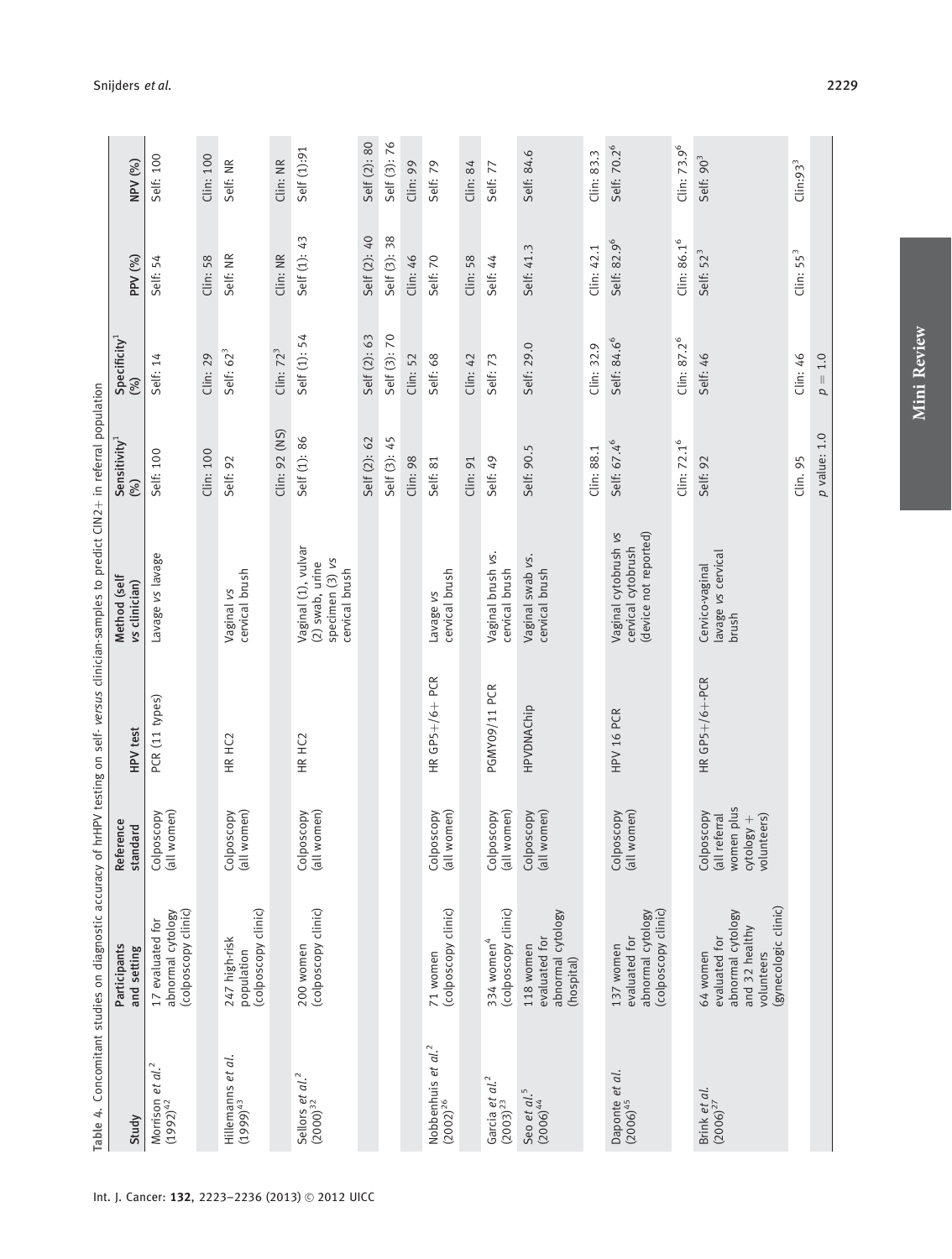|                                                                        |                    | Concomitant studies on diagnostic accuracy of hrHPV testing on self- versus clinician-samples to predict CIN2+ in referral population |                               |                                 |                         |                         |
|------------------------------------------------------------------------|--------------------|---------------------------------------------------------------------------------------------------------------------------------------|-------------------------------|---------------------------------|-------------------------|-------------------------|
| Reference<br>standard                                                  | HPV test           | Method (self<br>vs clinician)                                                                                                         | Sensitivity <sup>1</sup><br>ි | Specificity <sup>1</sup><br>(%) | PPV (%)                 | NPV (%)                 |
| (all women)<br>Colposcopy                                              | PCR (11 types)     | Lavage vs lavage                                                                                                                      | Self: 100                     | Self: 14                        | Self: 54                | Self: 100               |
|                                                                        |                    |                                                                                                                                       | Clin: 100                     | Clin: 29                        | Clin: 58                | Clin: 100               |
| Colposcopy<br>(all women)                                              | HR HC <sub>2</sub> | cervical brush<br>Vaginal vs                                                                                                          | Self: 92                      | Self: 62 <sup>3</sup>           | Self: NR                | Self: NR                |
|                                                                        |                    |                                                                                                                                       | Clin: 92 (NS)                 | Clin: $72^3$                    | Clin: NR                | Clin: NR                |
| Colposcopy<br>(all women)                                              | HR HC2             | Vaginal (1), vulvar<br>specimen (3) vs<br>(2) swab, urine<br>cervical brush                                                           | Self (1): 86                  | Self (1): 54                    | Self (1): 43            | Self (1):91             |
|                                                                        |                    |                                                                                                                                       | Self (2): 62                  | Self (2): 63                    | Self (2): 40            | Self (2): 80            |
|                                                                        |                    |                                                                                                                                       | Self (3): 45                  | Self (3): 70                    | Self (3): 38            | Self (3): 76            |
|                                                                        |                    |                                                                                                                                       | Clin: 98                      | Clin: 52                        | Clin: 46                | Clin: 99                |
| (all women)<br>Colposcopy                                              | HR $GP5+/6+PCR$    | cervical brush<br>Lavage vs                                                                                                           | Self: 81                      | Self: 68                        | Self: 70                | Self: 79                |
|                                                                        |                    |                                                                                                                                       | Clin: 91                      | Clin: 42                        | Clin: 58                | Clin: 84                |
| Colposcopy<br>(all women)                                              | PGMY09/11 PCR      | Vaginal brush vs.<br>cervical brush                                                                                                   | Self: 49                      | Self: 73                        | Self: 44                | Self: 77                |
| Colposcopy<br>(all women)                                              | HPVDNAChip         | Vaginal swab vs.<br>cervical brush                                                                                                    | Self: 90.5                    | Self: 29.0                      | Self: 41.3              | Self: 84.6              |
|                                                                        |                    |                                                                                                                                       | Clin: 88.1                    | Clin: 32.9                      | Clin: 42.1              | Clin: 83.3              |
| Colposcopy<br>(all women)                                              | HPV 16 PCR         | (device not reported)<br>Vaginal cytobrush vs<br>cervical cytobrush                                                                   | Self: 67.4 <sup>6</sup>       | Self: 84.6°                     | Self: 82.9 <sup>6</sup> | Self: 70.2 <sup>6</sup> |
|                                                                        |                    |                                                                                                                                       | Clin: $72.1^6$                | Clin: $87.26$                   | Clin: 86.1 <sup>6</sup> | Clin: $73.9^6$          |
| women plus<br>Colposcopy<br>(all referral<br>cytology +<br>volunteers) | HR $GP5+/6++PCR$   | lavage vs cervical<br>Cervico-vaginal<br>brush                                                                                        | Self: 92                      | Self: 46                        | Self: 52 <sup>3</sup>   | Self: 90 <sup>3</sup>   |
|                                                                        |                    |                                                                                                                                       | Clin. 95                      | Clin: 46                        | Clin: $553$             | Clin:93 <sup>3</sup>    |
|                                                                        |                    |                                                                                                                                       | p value: 1.0                  | $1.0$<br>$p =$                  |                         |                         |
|                                                                        |                    |                                                                                                                                       |                               |                                 |                         |                         |

 $\mathbf{r}$ 

 $\sim$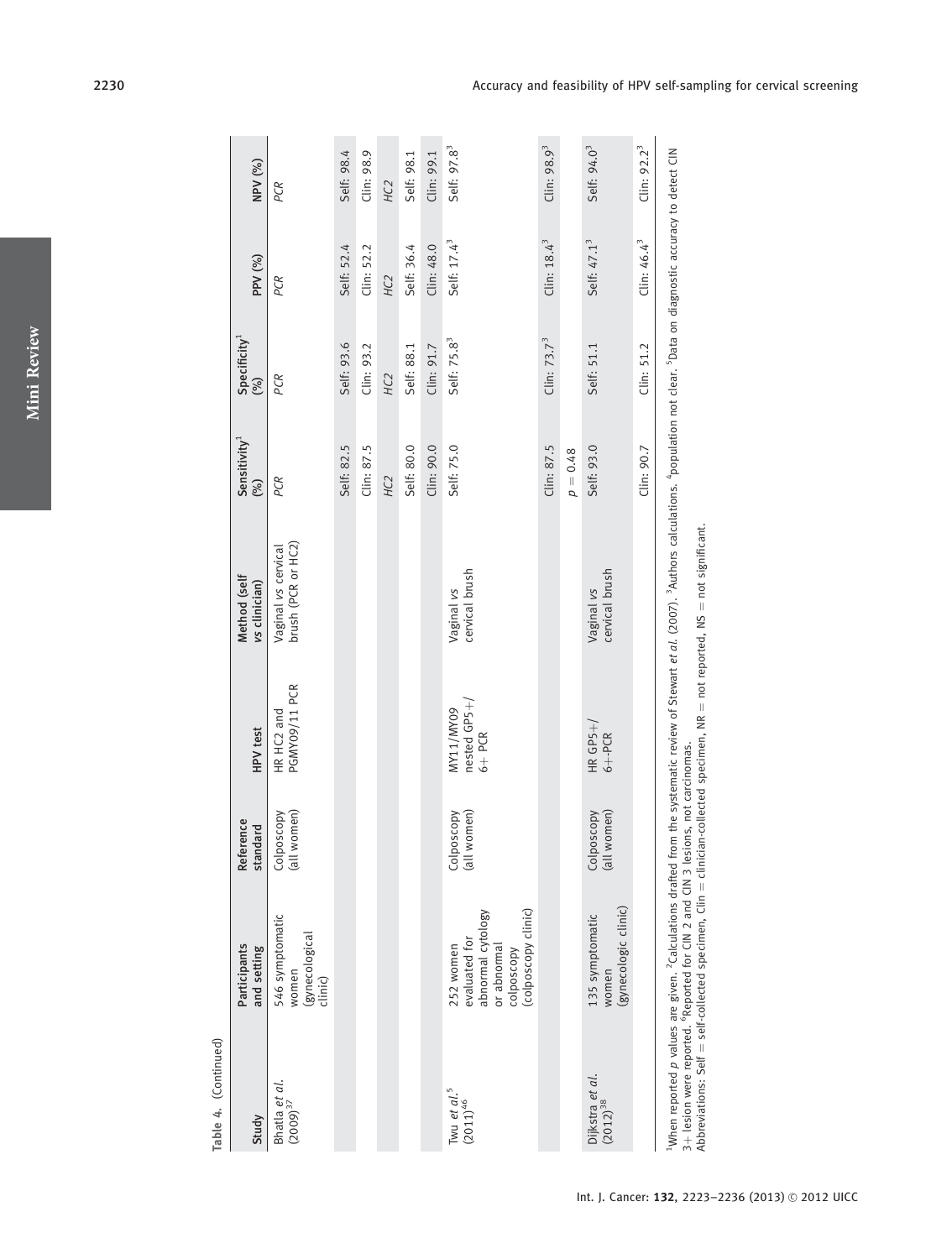| Table 4. (Continued)                            |                                                                                                     |                           |                                         |                                                                                                                                                                                                                                                                                     |                                 |                                 |                         |                         |
|-------------------------------------------------|-----------------------------------------------------------------------------------------------------|---------------------------|-----------------------------------------|-------------------------------------------------------------------------------------------------------------------------------------------------------------------------------------------------------------------------------------------------------------------------------------|---------------------------------|---------------------------------|-------------------------|-------------------------|
| Study                                           | Participants<br>and setting                                                                         | Reference<br>standard     | HPV test                                | Method (self<br>vs clinician)                                                                                                                                                                                                                                                       | Sensitivity <sup>1</sup><br>(%) | ${\sf Specificity}^1$<br>$(\%)$ | PPV (%)                 | NPV (%)                 |
| Bhatla <i>et al</i> .<br>(2009) <sup>37</sup>   | 546 symptomatic<br>(gynecological<br>women<br>clinic)                                               | Colposcopy<br>(all women) | PGMY09/11 PCR<br>HR HC2 and             | brush (PCR or HC2)<br>Vaginal vs cervical                                                                                                                                                                                                                                           | PCR                             | PCR                             | PCR                     | PCR                     |
|                                                 |                                                                                                     |                           |                                         |                                                                                                                                                                                                                                                                                     | Self: 82.5                      | Self: 93.6                      | Self: 52.4              | Self: 98.4              |
|                                                 |                                                                                                     |                           |                                         |                                                                                                                                                                                                                                                                                     | Clin: 87.5                      | Clin: 93.2                      | Clin: 52.2              | Clin: 98.9              |
|                                                 |                                                                                                     |                           |                                         |                                                                                                                                                                                                                                                                                     | HC <sub>2</sub>                 | HC2                             | HC <sub>2</sub>         | HC <sub>2</sub>         |
|                                                 |                                                                                                     |                           |                                         |                                                                                                                                                                                                                                                                                     | Self: 80.0                      | Self: 88.1                      | Self: 36.4              | Self: 98.1              |
|                                                 |                                                                                                     |                           |                                         |                                                                                                                                                                                                                                                                                     | Clin: 90.0                      | Clin: 91.7                      | Clin: 48.0              | Clin: 99.1              |
| Twu et al. <sup>5</sup><br>(2011) <sup>46</sup> | (colposcopy clinic)<br>abnormal cytology<br>evaluated for<br>252 women<br>or abnormal<br>colposcopy | Colposcopy<br>(all women) | $n$ ested GP5+/<br>MY11/MY09<br>$6+PCR$ | cervical brush<br>Vaginal vs                                                                                                                                                                                                                                                        | Self: 75.0                      | Self: 75.8 <sup>3</sup>         | Self: 17.4 <sup>3</sup> | Self: 97.8 <sup>3</sup> |
|                                                 |                                                                                                     |                           |                                         |                                                                                                                                                                                                                                                                                     | Clin: 87.5                      | Clin: $73.7^{3}$                | Clin: $18.4^3$          | Clin: 98.9 <sup>3</sup> |
|                                                 |                                                                                                     |                           |                                         |                                                                                                                                                                                                                                                                                     | $p = 0.48$                      |                                 |                         |                         |
| Dijkstra et al.<br>$(2012)^{38}$                | (gynecologic clinic)<br>135 symptomatic<br>women                                                    | Colposcopy<br>(all women) | HR GP5 $+$ /<br>$6 + -PCR$              | cervical brush<br>Vaginal vs                                                                                                                                                                                                                                                        | Self: 93.0                      | Self: 51.1                      | Self: 47.1 <sup>3</sup> | Self: 94.0 <sup>3</sup> |
|                                                 |                                                                                                     |                           |                                         |                                                                                                                                                                                                                                                                                     | Clin: 90.7                      | Clin: 51.2                      | Clin: $46.4^{3}$        | Clin: $92.2^3$          |
|                                                 |                                                                                                     |                           |                                         | <sup>1</sup> When reported <i>p</i> values are given. <sup>2</sup> Calculations drafted from the systematic review of Stewart <i>et al.</i> (2007). <sup>3</sup> Authors calculations. "population not clear. <sup>5</sup> Data on diagnostic accuracy to detect CIN<br>3+ lesion w |                                 |                                 |                         |                         |

של השיטו יו או באו ביו או ביו או ביו או ביו או ביו או ביו או ביו או ביו או באו או באו ביו או באו לא באו הם לא<br>Abbreviations: Self = self-collected specimen, Clin = clinician-collected specimen, NR = not reported, NS = no Abbreviations: Self = self-collected specimen, Clin = clinician-collected specimen, NR = not reported, NS = not significant. 3+ lesion were reported. <sup>6</sup>Reported for CIN 2 and CIN 3 lesions, not carcinomas.

Mini Review

Mini Review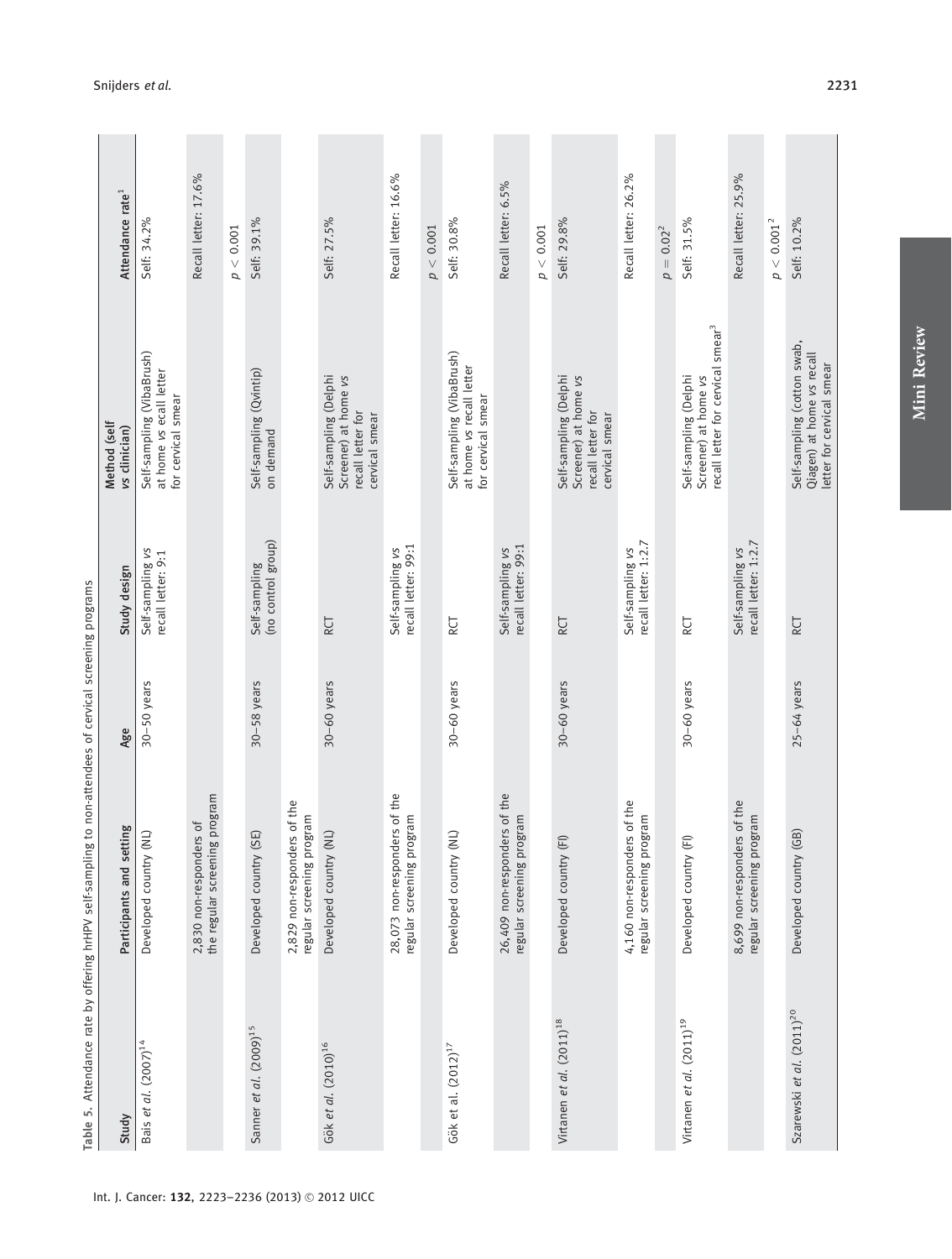|                                       | Table 5. Attendance rate by offering hrHPV self-sampling to non-attendees of cervical screening programs |                 |                                          |                                                                                                |                              |
|---------------------------------------|----------------------------------------------------------------------------------------------------------|-----------------|------------------------------------------|------------------------------------------------------------------------------------------------|------------------------------|
| Study                                 | Participants and setting                                                                                 | Age             | Study design                             | Method (self<br>vs clinician)                                                                  | Attendance rate <sup>1</sup> |
| Bais et al. (2007) <sup>14</sup>      | Developed country (NL)                                                                                   | $30 - 50$ years | Self-sampling vs<br>recall letter: 9:1   | Self-sampling (VibaBrush)<br>at home vs ecall letter<br>for cervical smear                     | Self: 34.2%                  |
|                                       | the regular screening program<br>2,830 non-responders of                                                 |                 |                                          |                                                                                                | Recall letter: 17.6%         |
|                                       |                                                                                                          |                 |                                          |                                                                                                | p < 0.001                    |
| Sanner et al. (2009) <sup>15</sup>    | Developed country (SE)                                                                                   | $30 - 58$ years | (no control group)<br>Self-sampling      | Self-sampling (Qvintip)<br>on demand                                                           | Self: 39.1%                  |
|                                       | 2,829 non-responders of the<br>regular screening program                                                 |                 |                                          |                                                                                                |                              |
| Gök et al. (2010) <sup>16</sup>       | Developed country (NL)                                                                                   | $30-60$ years   | RCT                                      | Self-sampling (Delphi<br>Screener) at home vs<br>recall letter for<br>cervical smear           | Self: 27.5%                  |
|                                       | of the<br>regular screening program<br>28,073 non-responders                                             |                 | recall letter: 99:1<br>Self-sampling vs  |                                                                                                | Recall letter: 16.6%         |
|                                       |                                                                                                          |                 |                                          |                                                                                                | p < 0.001                    |
| Gök et al. (2012) <sup>17</sup>       | Developed country (NL)                                                                                   | $30-60$ years   | RCT                                      | Self-sampling (VibaBrush)<br>at home vs recall letter<br>for cervical smear                    | Self: 30.8%                  |
|                                       | of the<br>regular screening program<br>26,409 non-responders                                             |                 | recall letter: 99:1<br>Self-sampling vs  |                                                                                                | Recall letter: 6.5%          |
|                                       |                                                                                                          |                 |                                          |                                                                                                | p < 0.001                    |
| Virtanen et al. (2011) <sup>18</sup>  | Developed country (FI)                                                                                   | $30-60$ years   | RCT                                      | Self-sampling (Delphi<br>Screener) at home vs<br>recall letter for<br>cervical smear           | Self: 29.8%                  |
|                                       | 4,160 non-responders of the<br>regular screening program                                                 |                 | recall letter: 1:2.7<br>Self-sampling vs |                                                                                                | Recall letter: 26.2%         |
|                                       |                                                                                                          |                 |                                          |                                                                                                | $\rho=0.02^2$                |
| Virtanen et al. (2011) <sup>19</sup>  | Developed country (FI)                                                                                   | $30-60$ years   | RCT                                      | recall letter for cervical smear <sup>3</sup><br>Self-sampling (Delphi<br>Screener) at home vs | Self: 31.5%                  |
|                                       | 8,699 non-responders of the<br>regular screening program                                                 |                 | recall letter: 1:2.7<br>Self-sampling vs |                                                                                                | Recall letter: 25.9%         |
|                                       |                                                                                                          |                 |                                          |                                                                                                | $p<0.001^2$                  |
| Szarewski et al. (2011) <sup>20</sup> | Developed country (GB)                                                                                   | $25 - 64$ years | RCT                                      | Self-sampling (cotton swab,<br>Qiagen) at home vs recall<br>letter for cervical smear          | Self: 10.2%                  |
|                                       |                                                                                                          |                 |                                          |                                                                                                |                              |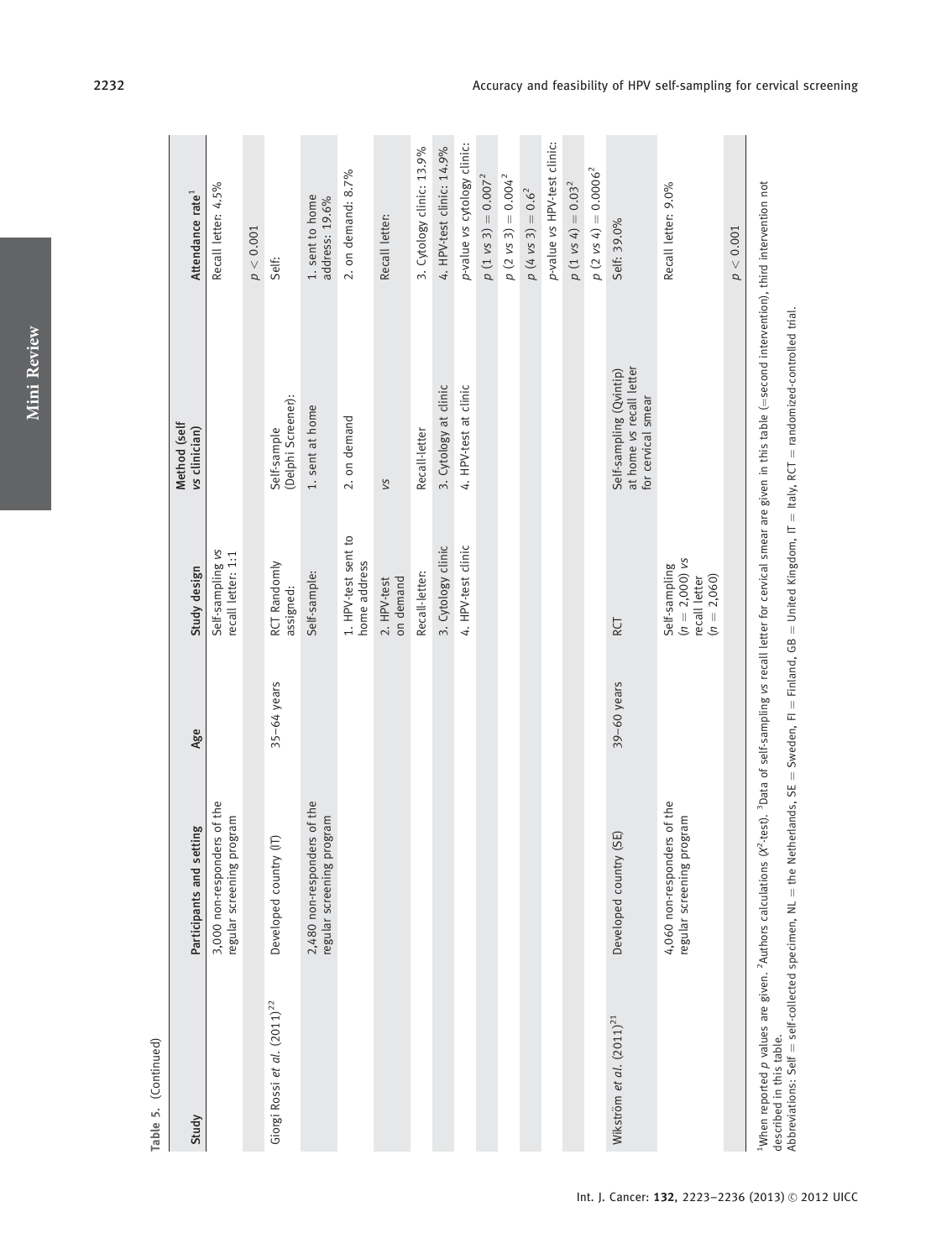Table 5. (Continued) Table 5. (Continued)

| Study                                    | Participants and setting                                                                                                                                            | Age           | Study design                                                        | Method (self<br>vs clinician)                                                                                                                                                                                            | Attendance rate <sup>1</sup>      |
|------------------------------------------|---------------------------------------------------------------------------------------------------------------------------------------------------------------------|---------------|---------------------------------------------------------------------|--------------------------------------------------------------------------------------------------------------------------------------------------------------------------------------------------------------------------|-----------------------------------|
|                                          | 3,000 non-responders of the<br>regular screening program                                                                                                            |               | Self-sampling vs<br>recall letter: 1:1                              |                                                                                                                                                                                                                          | Recall letter: 4.5%               |
|                                          |                                                                                                                                                                     |               |                                                                     |                                                                                                                                                                                                                          | p < 0.001                         |
| Giorgi Rossi et al. (2011) <sup>22</sup> | Developed country (IT)                                                                                                                                              | 35-64 years   | <b>RCT Randomly</b><br>assigned:                                    | (Delphi Screener):<br>Self-sample                                                                                                                                                                                        | Self:                             |
|                                          | 2,480 non-responders of the<br>regular screening program                                                                                                            |               | Self-sample:                                                        | 1. sent at home                                                                                                                                                                                                          | 1. sent to home<br>address: 19.6% |
|                                          |                                                                                                                                                                     |               | 1. HPV-test sent to<br>home address                                 | 2. on demand                                                                                                                                                                                                             | 2. on demand: 8.7%                |
|                                          |                                                                                                                                                                     |               | on demand<br>2. HPV-test                                            | Σ                                                                                                                                                                                                                        | Recall letter:                    |
|                                          |                                                                                                                                                                     |               | Recall-letter:                                                      | Recall-letter                                                                                                                                                                                                            | 3. Cytology clinic: 13.9%         |
|                                          |                                                                                                                                                                     |               | 3. Cytology clinic                                                  | 3. Cytology at clinic                                                                                                                                                                                                    | 4. HPV-test clinic: 14.9%         |
|                                          |                                                                                                                                                                     |               | 4. HPV-test clinic                                                  | 4. HPV-test at clinic                                                                                                                                                                                                    | p-value vs cytology clinic:       |
|                                          |                                                                                                                                                                     |               |                                                                     |                                                                                                                                                                                                                          | $p(1 \text{ vs } 3) = 0.007^2$    |
|                                          |                                                                                                                                                                     |               |                                                                     |                                                                                                                                                                                                                          | $p(2 \text{ vs } 3) = 0.004^2$    |
|                                          |                                                                                                                                                                     |               |                                                                     |                                                                                                                                                                                                                          | $p(4 \text{ vs } 3) = 0.6^2$      |
|                                          |                                                                                                                                                                     |               |                                                                     |                                                                                                                                                                                                                          | p-value vs HPV-test clinic:       |
|                                          |                                                                                                                                                                     |               |                                                                     |                                                                                                                                                                                                                          | $p(1 \text{ vs } 4) = 0.03^2$     |
|                                          |                                                                                                                                                                     |               |                                                                     |                                                                                                                                                                                                                          | $p(2 \text{ vs } 4) = 0.0006^2$   |
| Wikström et al. $(2011)^{21}$            | Developed country (SE)                                                                                                                                              | $39-60$ years | RCT                                                                 | at home vs recall letter<br>Self-sampling (Qvintip)<br>for cervical smear                                                                                                                                                | Self: 39.0%                       |
|                                          | 4,060 non-responders of the<br>regular screening program                                                                                                            |               | $(n = 2,000)$ vs<br>Self-sampling<br>$(n = 2,060)$<br>recall letter |                                                                                                                                                                                                                          | Recall letter: 9.0%               |
|                                          |                                                                                                                                                                     |               |                                                                     |                                                                                                                                                                                                                          | p < 0.001                         |
| described in this table.                 | Abbreviations: Self = self-collected specimen, NL = the Netherlands, SE = Sweden, FI = Finland, GB = United Kingdom, IT = Italy, RCT = randomized-controlled trial. |               |                                                                     | $^1$ When reported $p$ values are given. $^2$ Authors calculations (X $^2$ -test). $^3$ Data of self-sampling vs recall letter for cervical smear are given in this table (=second intervention), third intervention not |                                   |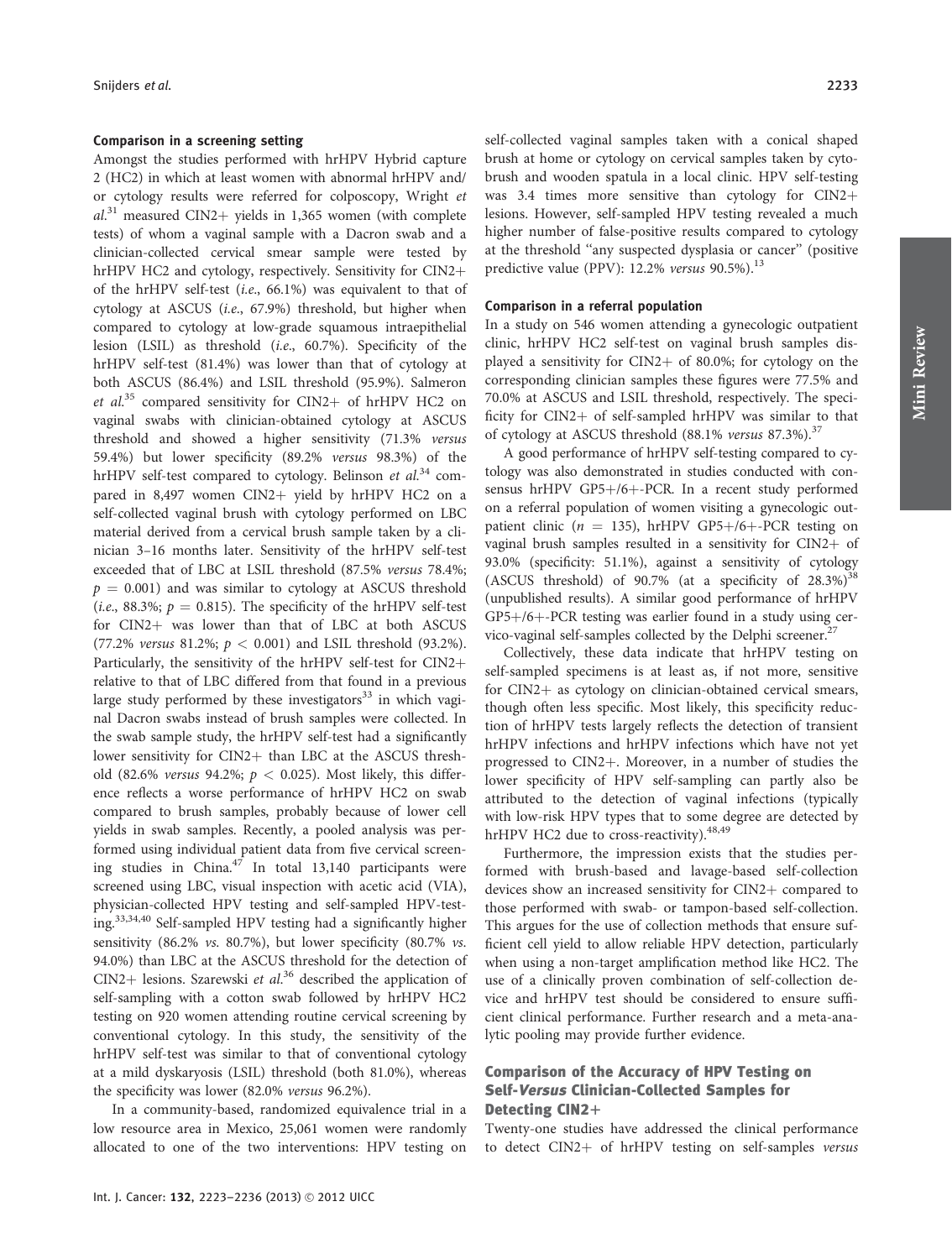#### Comparison in a screening setting

Amongst the studies performed with hrHPV Hybrid capture 2 (HC2) in which at least women with abnormal hrHPV and/ or cytology results were referred for colposcopy, Wright et  $al.^{31}$  measured CIN2+ yields in 1,365 women (with complete tests) of whom a vaginal sample with a Dacron swab and a clinician-collected cervical smear sample were tested by hrHPV HC2 and cytology, respectively. Sensitivity for CIN2+ of the hrHPV self-test (i.e., 66.1%) was equivalent to that of cytology at ASCUS (i.e., 67.9%) threshold, but higher when compared to cytology at low-grade squamous intraepithelial lesion (LSIL) as threshold (i.e., 60.7%). Specificity of the hrHPV self-test (81.4%) was lower than that of cytology at both ASCUS (86.4%) and LSIL threshold (95.9%). Salmeron et al.<sup>35</sup> compared sensitivity for CIN2+ of hrHPV HC2 on vaginal swabs with clinician-obtained cytology at ASCUS threshold and showed a higher sensitivity (71.3% versus 59.4%) but lower specificity (89.2% versus 98.3%) of the hrHPV self-test compared to cytology. Belinson et al.<sup>34</sup> compared in 8,497 women CIN2+ yield by hrHPV HC2 on a self-collected vaginal brush with cytology performed on LBC material derived from a cervical brush sample taken by a clinician 3–16 months later. Sensitivity of the hrHPV self-test exceeded that of LBC at LSIL threshold (87.5% versus 78.4%;  $p = 0.001$ ) and was similar to cytology at ASCUS threshold (*i.e.*, 88.3%;  $p = 0.815$ ). The specificity of the hrHPV self-test for CIN2+ was lower than that of LBC at both ASCUS (77.2% versus 81.2%;  $p < 0.001$ ) and LSIL threshold (93.2%). Particularly, the sensitivity of the hrHPV self-test for CIN2+ relative to that of LBC differed from that found in a previous large study performed by these investigators $33$  in which vaginal Dacron swabs instead of brush samples were collected. In the swab sample study, the hrHPV self-test had a significantly lower sensitivity for CIN2+ than LBC at the ASCUS threshold (82.6% versus 94.2%;  $p < 0.025$ ). Most likely, this difference reflects a worse performance of hrHPV HC2 on swab compared to brush samples, probably because of lower cell yields in swab samples. Recently, a pooled analysis was performed using individual patient data from five cervical screening studies in China. $47$  In total 13,140 participants were screened using LBC, visual inspection with acetic acid (VIA), physician-collected HPV testing and self-sampled HPV-testing.33,34,40 Self-sampled HPV testing had a significantly higher sensitivity (86.2% *vs.* 80.7%), but lower specificity (80.7% *vs.* 94.0%) than LBC at the ASCUS threshold for the detection of CIN2+ lesions. Szarewski et  $al.^{36}$  described the application of self-sampling with a cotton swab followed by hrHPV HC2 testing on 920 women attending routine cervical screening by conventional cytology. In this study, the sensitivity of the hrHPV self-test was similar to that of conventional cytology at a mild dyskaryosis (LSIL) threshold (both 81.0%), whereas the specificity was lower (82.0% versus 96.2%).

In a community-based, randomized equivalence trial in a low resource area in Mexico, 25,061 women were randomly allocated to one of the two interventions: HPV testing on

self-collected vaginal samples taken with a conical shaped brush at home or cytology on cervical samples taken by cytobrush and wooden spatula in a local clinic. HPV self-testing was 3.4 times more sensitive than cytology for  $CIN2+$ lesions. However, self-sampled HPV testing revealed a much higher number of false-positive results compared to cytology at the threshold ''any suspected dysplasia or cancer'' (positive predictive value (PPV): 12.2% versus  $90.5\%$ ).<sup>13</sup>

#### Comparison in a referral population

In a study on 546 women attending a gynecologic outpatient clinic, hrHPV HC2 self-test on vaginal brush samples displayed a sensitivity for  $CIN2+$  of 80.0%; for cytology on the corresponding clinician samples these figures were 77.5% and 70.0% at ASCUS and LSIL threshold, respectively. The specificity for  $CIN2+$  of self-sampled hrHPV was similar to that of cytology at ASCUS threshold (88.1% versus 87.3%).<sup>37</sup>

A good performance of hrHPV self-testing compared to cytology was also demonstrated in studies conducted with consensus hrHPV GP5+/6+-PCR. In a recent study performed on a referral population of women visiting a gynecologic outpatient clinic ( $n = 135$ ), hrHPV GP5+/6+-PCR testing on vaginal brush samples resulted in a sensitivity for  $CIN2+$  of 93.0% (specificity: 51.1%), against a sensitivity of cytology (ASCUS threshold) of 90.7% (at a specificity of  $28.3\%$ )<sup>38</sup> (unpublished results). A similar good performance of hrHPV  $GP5+/6+-PCR$  testing was earlier found in a study using cervico-vaginal self-samples collected by the Delphi screener.<sup>27</sup>

Collectively, these data indicate that hrHPV testing on self-sampled specimens is at least as, if not more, sensitive for  $CIN2$  as cytology on clinician-obtained cervical smears, though often less specific. Most likely, this specificity reduction of hrHPV tests largely reflects the detection of transient hrHPV infections and hrHPV infections which have not yet progressed to CIN2+. Moreover, in a number of studies the lower specificity of HPV self-sampling can partly also be attributed to the detection of vaginal infections (typically with low-risk HPV types that to some degree are detected by hrHPV HC2 due to cross-reactivity).<sup>48,49</sup>

Furthermore, the impression exists that the studies performed with brush-based and lavage-based self-collection devices show an increased sensitivity for CIN2+ compared to those performed with swab- or tampon-based self-collection. This argues for the use of collection methods that ensure sufficient cell yield to allow reliable HPV detection, particularly when using a non-target amplification method like HC2. The use of a clinically proven combination of self-collection device and hrHPV test should be considered to ensure sufficient clinical performance. Further research and a meta-analytic pooling may provide further evidence.

## Comparison of the Accuracy of HPV Testing on Self-Versus Clinician-Collected Samples for Detecting CIN2+

Twenty-one studies have addressed the clinical performance to detect CIN2+ of hrHPV testing on self-samples versus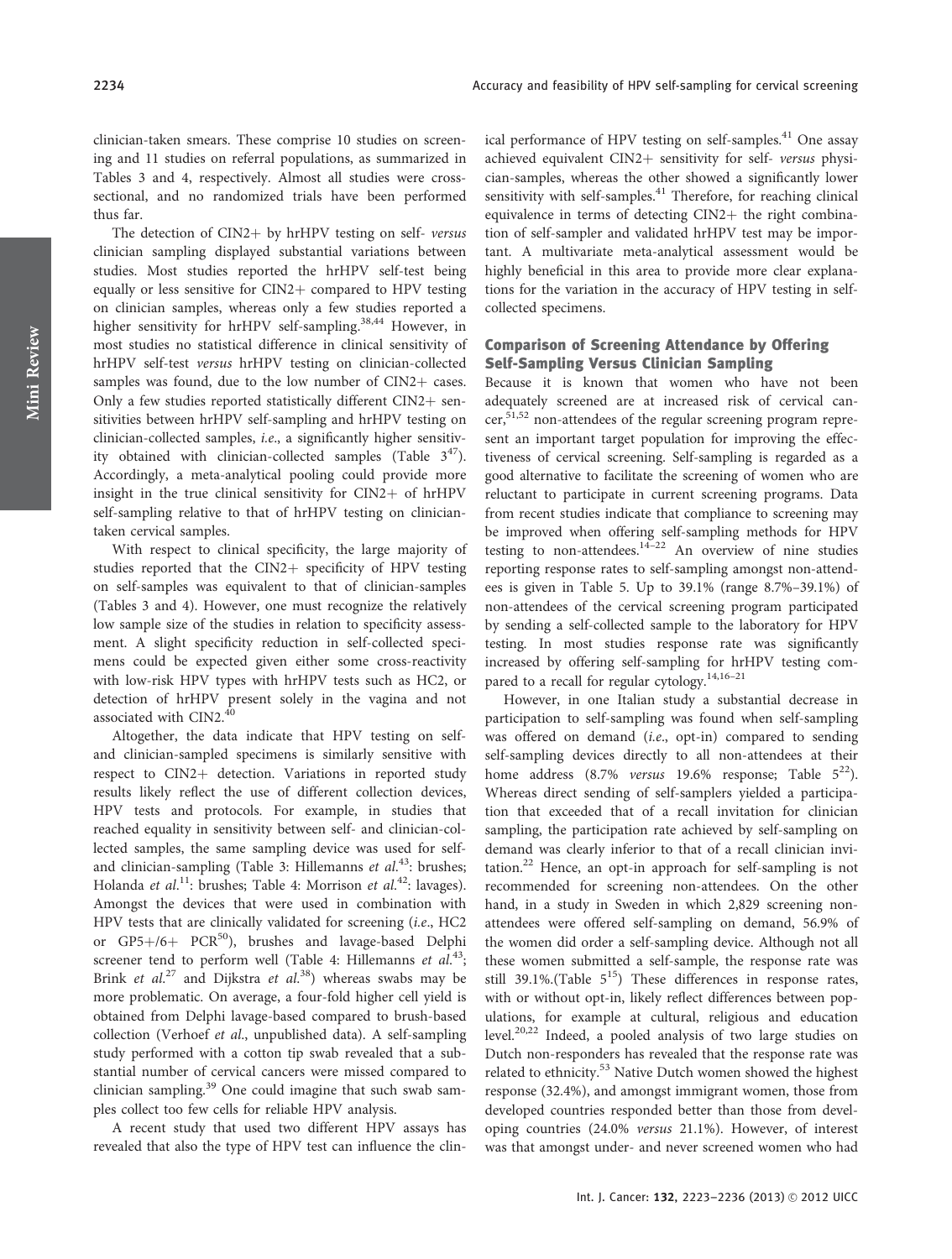Mini Review

Mini Review

clinician-taken smears. These comprise 10 studies on screening and 11 studies on referral populations, as summarized in Tables 3 and 4, respectively. Almost all studies were crosssectional, and no randomized trials have been performed thus far.

The detection of CIN2+ by hrHPV testing on self- versus clinician sampling displayed substantial variations between studies. Most studies reported the hrHPV self-test being equally or less sensitive for  $CIN2$  compared to HPV testing on clinician samples, whereas only a few studies reported a higher sensitivity for hrHPV self-sampling.<sup>38,44</sup> However, in most studies no statistical difference in clinical sensitivity of hrHPV self-test versus hrHPV testing on clinician-collected samples was found, due to the low number of  $CIN2 + \text{cases}$ . Only a few studies reported statistically different  $CIN2+$  sensitivities between hrHPV self-sampling and hrHPV testing on clinician-collected samples, i.e., a significantly higher sensitivity obtained with clinician-collected samples (Table  $3<sup>4</sup>$ ). Accordingly, a meta-analytical pooling could provide more insight in the true clinical sensitivity for  $CIN2+$  of hrHPV self-sampling relative to that of hrHPV testing on cliniciantaken cervical samples.

With respect to clinical specificity, the large majority of studies reported that the  $CIN2+$  specificity of HPV testing on self-samples was equivalent to that of clinician-samples (Tables 3 and 4). However, one must recognize the relatively low sample size of the studies in relation to specificity assessment. A slight specificity reduction in self-collected specimens could be expected given either some cross-reactivity with low-risk HPV types with hrHPV tests such as HC2, or detection of hrHPV present solely in the vagina and not associated with CIN2.40

Altogether, the data indicate that HPV testing on selfand clinician-sampled specimens is similarly sensitive with respect to CIN2+ detection. Variations in reported study results likely reflect the use of different collection devices, HPV tests and protocols. For example, in studies that reached equality in sensitivity between self- and clinician-collected samples, the same sampling device was used for selfand clinician-sampling (Table 3: Hillemanns et al.<sup>43</sup>: brushes; Holanda et al.<sup>11</sup>: brushes; Table 4: Morrison et al.<sup>42</sup>: lavages). Amongst the devices that were used in combination with HPV tests that are clinically validated for screening (i.e., HC2 or  $GP5+/6+ PCR^{50}$ , brushes and lavage-based Delphi screener tend to perform well (Table 4: Hillemanns et al.<sup>43</sup>; Brink et  $al$ <sup>27</sup> and Dijkstra et  $al$ <sup>38</sup>) whereas swabs may be more problematic. On average, a four-fold higher cell yield is obtained from Delphi lavage-based compared to brush-based collection (Verhoef et al., unpublished data). A self-sampling study performed with a cotton tip swab revealed that a substantial number of cervical cancers were missed compared to clinician sampling.<sup>39</sup> One could imagine that such swab samples collect too few cells for reliable HPV analysis.

A recent study that used two different HPV assays has revealed that also the type of HPV test can influence the clinical performance of HPV testing on self-samples.<sup>41</sup> One assay achieved equivalent CIN2+ sensitivity for self- versus physician-samples, whereas the other showed a significantly lower sensitivity with self-samples.<sup>41</sup> Therefore, for reaching clinical equivalence in terms of detecting  $CIN2+$  the right combination of self-sampler and validated hrHPV test may be important. A multivariate meta-analytical assessment would be highly beneficial in this area to provide more clear explanations for the variation in the accuracy of HPV testing in selfcollected specimens.

## Comparison of Screening Attendance by Offering Self-Sampling Versus Clinician Sampling

Because it is known that women who have not been adequately screened are at increased risk of cervical cancer,51,52 non-attendees of the regular screening program represent an important target population for improving the effectiveness of cervical screening. Self-sampling is regarded as a good alternative to facilitate the screening of women who are reluctant to participate in current screening programs. Data from recent studies indicate that compliance to screening may be improved when offering self-sampling methods for HPV testing to non-attendees.<sup>14–22</sup> An overview of nine studies reporting response rates to self-sampling amongst non-attendees is given in Table 5. Up to 39.1% (range 8.7%–39.1%) of non-attendees of the cervical screening program participated by sending a self-collected sample to the laboratory for HPV testing. In most studies response rate was significantly increased by offering self-sampling for hrHPV testing compared to a recall for regular cytology.<sup>14,16–21</sup>

However, in one Italian study a substantial decrease in participation to self-sampling was found when self-sampling was offered on demand (i.e., opt-in) compared to sending self-sampling devices directly to all non-attendees at their home address  $(8.7\%$  versus 19.6% response; Table  $5^{22}$ ). Whereas direct sending of self-samplers yielded a participation that exceeded that of a recall invitation for clinician sampling, the participation rate achieved by self-sampling on demand was clearly inferior to that of a recall clinician invitation. $22$  Hence, an opt-in approach for self-sampling is not recommended for screening non-attendees. On the other hand, in a study in Sweden in which 2,829 screening nonattendees were offered self-sampling on demand, 56.9% of the women did order a self-sampling device. Although not all these women submitted a self-sample, the response rate was still 39.1%.(Table  $5^{15}$ ) These differences in response rates, with or without opt-in, likely reflect differences between populations, for example at cultural, religious and education level.<sup>20,22</sup> Indeed, a pooled analysis of two large studies on Dutch non-responders has revealed that the response rate was related to ethnicity.<sup>53</sup> Native Dutch women showed the highest response (32.4%), and amongst immigrant women, those from developed countries responded better than those from developing countries (24.0% versus 21.1%). However, of interest was that amongst under- and never screened women who had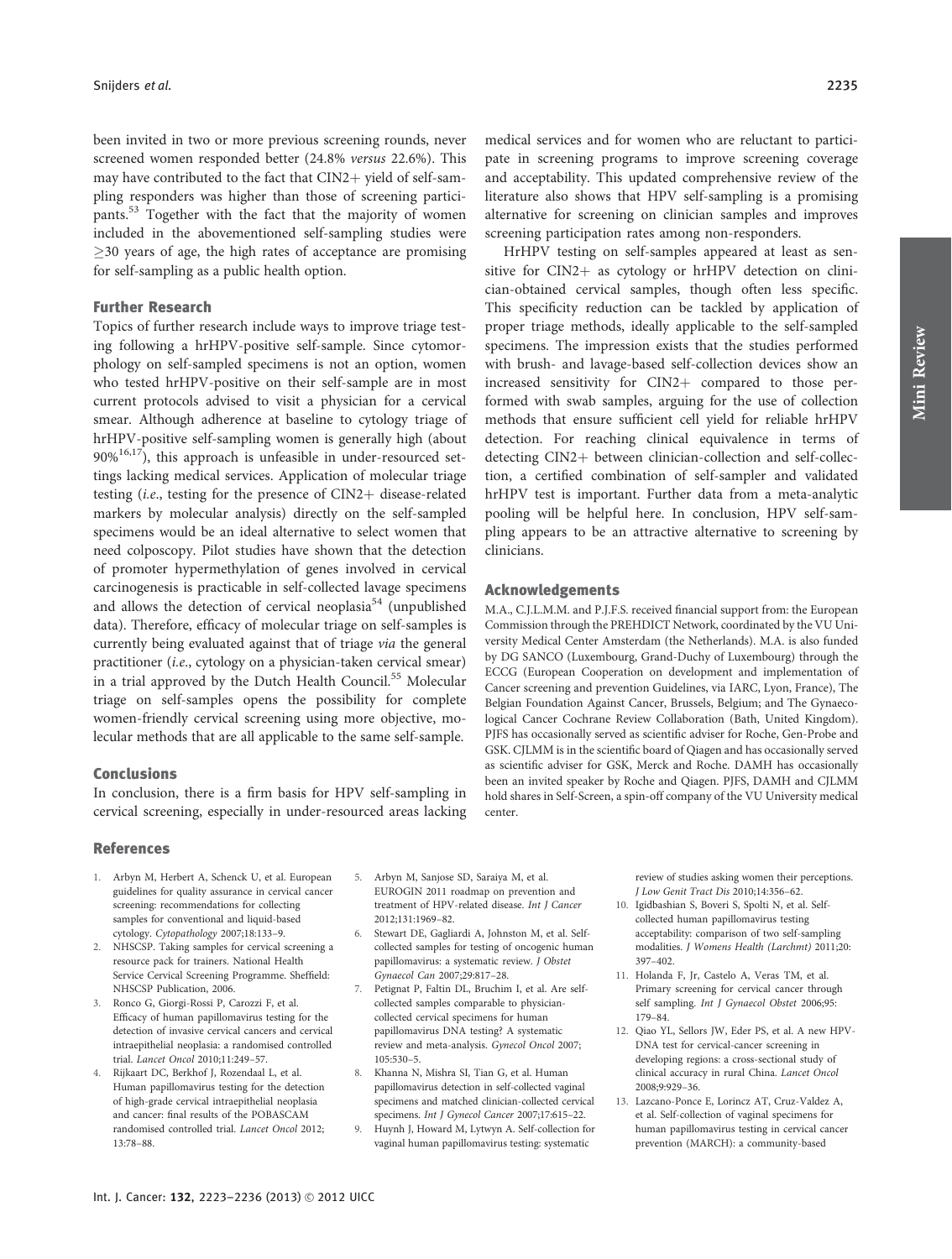been invited in two or more previous screening rounds, never screened women responded better (24.8% versus 22.6%). This may have contributed to the fact that  $CIN2$  yield of self-sampling responders was higher than those of screening participants.<sup>53</sup> Together with the fact that the majority of women included in the abovementioned self-sampling studies were  $\geq$ 30 years of age, the high rates of acceptance are promising for self-sampling as a public health option.

## Further Research

Topics of further research include ways to improve triage testing following a hrHPV-positive self-sample. Since cytomorphology on self-sampled specimens is not an option, women who tested hrHPV-positive on their self-sample are in most current protocols advised to visit a physician for a cervical smear. Although adherence at baseline to cytology triage of hrHPV-positive self-sampling women is generally high (about  $90\%$ <sup>16,17</sup>), this approach is unfeasible in under-resourced settings lacking medical services. Application of molecular triage testing (i.e., testing for the presence of  $CIN2+$  disease-related markers by molecular analysis) directly on the self-sampled specimens would be an ideal alternative to select women that need colposcopy. Pilot studies have shown that the detection of promoter hypermethylation of genes involved in cervical carcinogenesis is practicable in self-collected lavage specimens and allows the detection of cervical neoplasia<sup>54</sup> (unpublished data). Therefore, efficacy of molecular triage on self-samples is currently being evaluated against that of triage via the general practitioner (i.e., cytology on a physician-taken cervical smear) in a trial approved by the Dutch Health Council.<sup>55</sup> Molecular triage on self-samples opens the possibility for complete women-friendly cervical screening using more objective, molecular methods that are all applicable to the same self-sample.

## Conclusions

In conclusion, there is a firm basis for HPV self-sampling in cervical screening, especially in under-resourced areas lacking

## References

- 1. Arbyn M, Herbert A, Schenck U, et al. European guidelines for quality assurance in cervical cancer screening: recommendations for collecting samples for conventional and liquid-based cytology. Cytopathology 2007;18:133–9.
- 2. NHSCSP. Taking samples for cervical screening a resource pack for trainers. National Health Service Cervical Screening Programme. Sheffield: NHSCSP Publication, 2006.
- 3. Ronco G, Giorgi-Rossi P, Carozzi F, et al. Efficacy of human papillomavirus testing for the detection of invasive cervical cancers and cervical intraepithelial neoplasia: a randomised controlled trial. Lancet Oncol 2010;11:249–57.
- 4. Rijkaart DC, Berkhof J, Rozendaal L, et al. Human papillomavirus testing for the detection of high-grade cervical intraepithelial neoplasia and cancer: final results of the POBASCAM randomised controlled trial. Lancet Oncol 2012; 13:78–88.
- 5. Arbyn M, Sanjose SD, Saraiya M, et al. EUROGIN 2011 roadmap on prevention and treatment of HPV-related disease. Int J Cancer 2012;131:1969–82.
- 6. Stewart DE, Gagliardi A, Johnston M, et al. Selfcollected samples for testing of oncogenic human papillomavirus: a systematic review. J Obstet Gynaecol Can 2007;29:817–28.
- 7. Petignat P, Faltin DL, Bruchim I, et al. Are selfcollected samples comparable to physiciancollected cervical specimens for human papillomavirus DNA testing? A systematic review and meta-analysis. Gynecol Oncol 2007; 105:530–5.
- 8. Khanna N, Mishra SI, Tian G, et al. Human papillomavirus detection in self-collected vaginal specimens and matched clinician-collected cervical specimens. Int J Gynecol Cancer 2007;17:615-22.
- 9. Huynh J, Howard M, Lytwyn A. Self-collection for vaginal human papillomavirus testing: systematic

medical services and for women who are reluctant to participate in screening programs to improve screening coverage and acceptability. This updated comprehensive review of the literature also shows that HPV self-sampling is a promising alternative for screening on clinician samples and improves screening participation rates among non-responders.

HrHPV testing on self-samples appeared at least as sensitive for  $CIN2$  as cytology or hrHPV detection on clinician-obtained cervical samples, though often less specific. This specificity reduction can be tackled by application of proper triage methods, ideally applicable to the self-sampled specimens. The impression exists that the studies performed with brush- and lavage-based self-collection devices show an increased sensitivity for  $CIN2$  compared to those performed with swab samples, arguing for the use of collection methods that ensure sufficient cell yield for reliable hrHPV detection. For reaching clinical equivalence in terms of detecting  $CIN2+$  between clinician-collection and self-collection, a certified combination of self-sampler and validated hrHPV test is important. Further data from a meta-analytic pooling will be helpful here. In conclusion, HPV self-sampling appears to be an attractive alternative to screening by clinicians.

#### Acknowledgements

M.A., C.J.L.M.M. and P.J.F.S. received financial support from: the European Commission through the PREHDICT Network, coordinated by the VU University Medical Center Amsterdam (the Netherlands). M.A. is also funded by DG SANCO (Luxembourg, Grand-Duchy of Luxembourg) through the ECCG (European Cooperation on development and implementation of Cancer screening and prevention Guidelines, via IARC, Lyon, France), The Belgian Foundation Against Cancer, Brussels, Belgium; and The Gynaecological Cancer Cochrane Review Collaboration (Bath, United Kingdom). PJFS has occasionally served as scientific adviser for Roche, Gen-Probe and GSK. CJLMM is in the scientific board of Qiagen and has occasionally served as scientific adviser for GSK, Merck and Roche. DAMH has occasionally been an invited speaker by Roche and Qiagen. PJFS, DAMH and CJLMM hold shares in Self-Screen, a spin-off company of the VU University medical center.

> review of studies asking women their perceptions. J Low Genit Tract Dis 2010;14:356–62.

- 10. Igidbashian S, Boveri S, Spolti N, et al. Selfcollected human papillomavirus testing acceptability: comparison of two self-sampling modalities. J Womens Health (Larchmt) 2011;20: 397–402.
- 11. Holanda F, Jr, Castelo A, Veras TM, et al. Primary screening for cervical cancer through self sampling. Int J Gynaecol Obstet 2006;95: 179–84.
- 12. Qiao YL, Sellors JW, Eder PS, et al. A new HPV-DNA test for cervical-cancer screening in developing regions: a cross-sectional study of clinical accuracy in rural China. Lancet Oncol 2008;9:929–36.
- 13. Lazcano-Ponce E, Lorincz AT, Cruz-Valdez A, et al. Self-collection of vaginal specimens for human papillomavirus testing in cervical cancer prevention (MARCH): a community-based